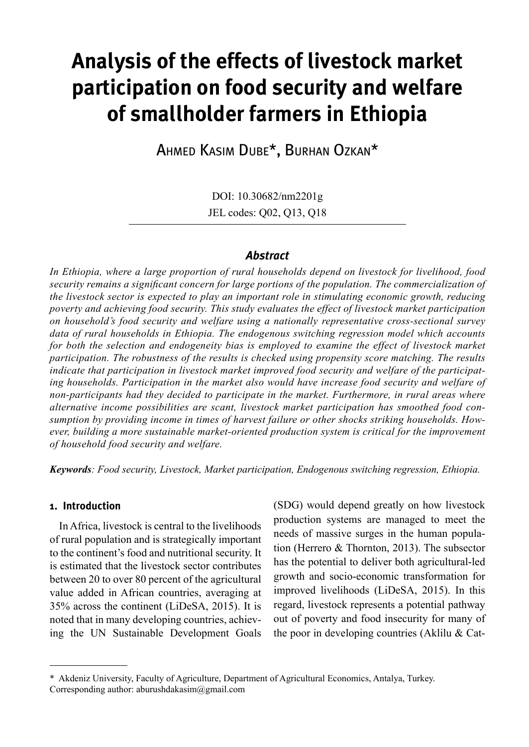# **Analysis of the effects of livestock market participation on food security and welfare of smallholder farmers in Ethiopia**

Ahmed Kasim Dube\*, Burhan Ozkan\*

DOI: 10.30682/nm2201g JEL codes: Q02, Q13, Q18

## *Abstract*

*In Ethiopia, where a large proportion of rural households depend on livestock for livelihood, food security remains a significant concern for large portions of the population. The commercialization of the livestock sector is expected to play an important role in stimulating economic growth, reducing poverty and achieving food security. This study evaluates the effect of livestock market participation on household's food security and welfare using a nationally representative cross-sectional survey data of rural households in Ethiopia. The endogenous switching regression model which accounts for both the selection and endogeneity bias is employed to examine the effect of livestock market participation. The robustness of the results is checked using propensity score matching. The results indicate that participation in livestock market improved food security and welfare of the participating households. Participation in the market also would have increase food security and welfare of non-participants had they decided to participate in the market. Furthermore, in rural areas where alternative income possibilities are scant, livestock market participation has smoothed food consumption by providing income in times of harvest failure or other shocks striking households. However, building a more sustainable market-oriented production system is critical for the improvement of household food security and welfare.*

*Keywords: Food security, Livestock, Market participation, Endogenous switching regression, Ethiopia.*

### **1. Introduction**

In Africa, livestock is central to the livelihoods of rural population and is strategically important to the continent's food and nutritional security. It is estimated that the livestock sector contributes between 20 to over 80 percent of the agricultural value added in African countries, averaging at 35% across the continent (LiDeSA, 2015). It is noted that in many developing countries, achieving the UN Sustainable Development Goals (SDG) would depend greatly on how livestock production systems are managed to meet the needs of massive surges in the human population (Herrero & Thornton, 2013). The subsector has the potential to deliver both agricultural-led growth and socio-economic transformation for improved livelihoods (LiDeSA, 2015). In this regard, livestock represents a potential pathway out of poverty and food insecurity for many of the poor in developing countries (Aklilu & Cat-

<sup>\*</sup> Akdeniz University, Faculty of Agriculture, Department of Agricultural Economics, Antalya, Turkey. Corresponding author: aburushdakasim@gmail.com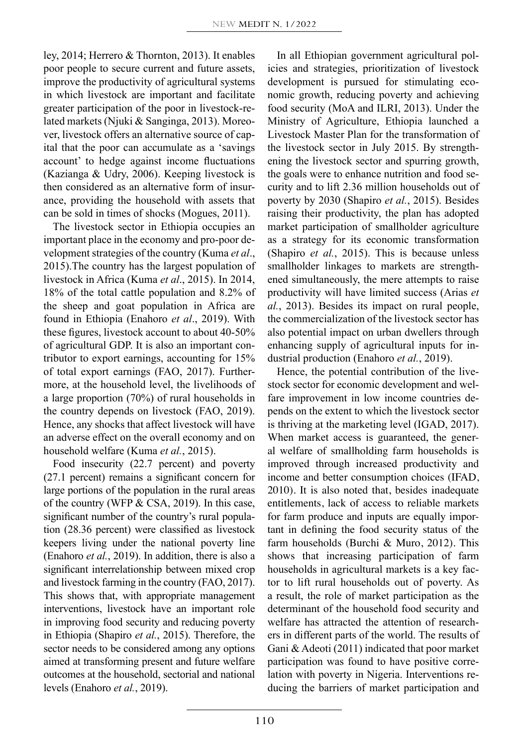ley, 2014; Herrero & Thornton, 2013). It enables poor people to secure current and future assets, improve the productivity of agricultural systems in which livestock are important and facilitate greater participation of the poor in livestock-related markets (Njuki & Sanginga, 2013). Moreover, livestock offers an alternative source of capital that the poor can accumulate as a 'savings account' to hedge against income fluctuations (Kazianga & Udry, 2006). Keeping livestock is then considered as an alternative form of insurance, providing the household with assets that can be sold in times of shocks (Mogues, 2011).

The livestock sector in Ethiopia occupies an important place in the economy and pro-poor development strategies of the country (Kuma *et al*., 2015).The country has the largest population of livestock in Africa (Kuma *et al*., 2015). In 2014, 18% of the total cattle population and 8.2% of the sheep and goat population in Africa are found in Ethiopia (Enahoro *et al*., 2019). With these figures, livestock account to about 40-50% of agricultural GDP. It is also an important contributor to export earnings, accounting for 15% of total export earnings (FAO, 2017). Furthermore, at the household level, the livelihoods of a large proportion (70%) of rural households in the country depends on livestock (FAO, 2019). Hence, any shocks that affect livestock will have an adverse effect on the overall economy and on household welfare (Kuma *et al.*, 2015).

Food insecurity (22.7 percent) and poverty (27.1 percent) remains a significant concern for large portions of the population in the rural areas of the country (WFP & CSA, 2019). In this case, significant number of the country's rural population (28.36 percent) were classified as livestock keepers living under the national poverty line (Enahoro *et al.*, 2019). In addition, there is also a significant interrelationship between mixed crop and livestock farming in the country (FAO, 2017). This shows that, with appropriate management interventions, livestock have an important role in improving food security and reducing poverty in Ethiopia (Shapiro *et al.*, 2015). Therefore, the sector needs to be considered among any options aimed at transforming present and future welfare outcomes at the household, sectorial and national levels (Enahoro *et al.*, 2019).

In all Ethiopian government agricultural policies and strategies, prioritization of livestock development is pursued for stimulating economic growth, reducing poverty and achieving food security (MoA and ILRI, 2013). Under the Ministry of Agriculture, Ethiopia launched a Livestock Master Plan for the transformation of the livestock sector in July 2015. By strengthening the livestock sector and spurring growth, the goals were to enhance nutrition and food security and to lift 2.36 million households out of poverty by 2030 (Shapiro *et al.*, 2015). Besides raising their productivity, the plan has adopted market participation of smallholder agriculture as a strategy for its economic transformation (Shapiro *et al.*, 2015). This is because unless smallholder linkages to markets are strengthened simultaneously, the mere attempts to raise productivity will have limited success (Arias *et al.*, 2013). Besides its impact on rural people, the commercialization of the livestock sector has also potential impact on urban dwellers through enhancing supply of agricultural inputs for industrial production (Enahoro *et al.*, 2019).

Hence, the potential contribution of the livestock sector for economic development and welfare improvement in low income countries depends on the extent to which the livestock sector is thriving at the marketing level (IGAD, 2017). When market access is guaranteed, the general welfare of smallholding farm households is improved through increased productivity and income and better consumption choices (IFAD, 2010). It is also noted that, besides inadequate entitlements, lack of access to reliable markets for farm produce and inputs are equally important in defining the food security status of the farm households (Burchi & Muro, 2012). This shows that increasing participation of farm households in agricultural markets is a key factor to lift rural households out of poverty. As a result, the role of market participation as the determinant of the household food security and welfare has attracted the attention of researchers in different parts of the world. The results of Gani & Adeoti (2011) indicated that poor market participation was found to have positive correlation with poverty in Nigeria. Interventions reducing the barriers of market participation and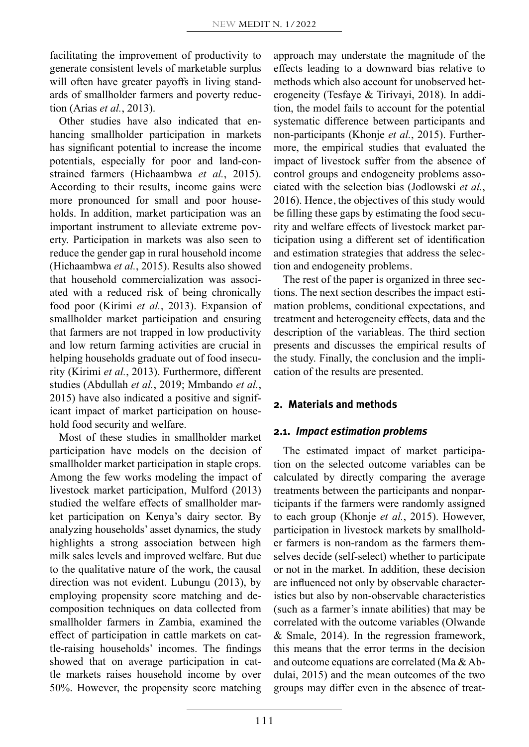facilitating the improvement of productivity to generate consistent levels of marketable surplus will often have greater payoffs in living standards of smallholder farmers and poverty reduction (Arias *et al.*, 2013).

Other studies have also indicated that enhancing smallholder participation in markets has significant potential to increase the income potentials, especially for poor and land-constrained farmers (Hichaambwa *et al.*, 2015). According to their results, income gains were more pronounced for small and poor households. In addition, market participation was an important instrument to alleviate extreme poverty. Participation in markets was also seen to reduce the gender gap in rural household income (Hichaambwa *et al.*, 2015). Results also showed that household commercialization was associated with a reduced risk of being chronically food poor (Kirimi *et al.*, 2013). Expansion of smallholder market participation and ensuring that farmers are not trapped in low productivity and low return farming activities are crucial in helping households graduate out of food insecurity (Kirimi *et al.*, 2013). Furthermore, different studies (Abdullah *et al.*, 2019; Mmbando *et al.*, 2015) have also indicated a positive and significant impact of market participation on household food security and welfare.

Most of these studies in smallholder market participation have models on the decision of smallholder market participation in staple crops. Among the few works modeling the impact of livestock market participation, Mulford (2013) studied the welfare effects of smallholder market participation on Kenya's dairy sector. By analyzing households' asset dynamics, the study highlights a strong association between high milk sales levels and improved welfare. But due to the qualitative nature of the work, the causal direction was not evident. Lubungu (2013), by employing propensity score matching and decomposition techniques on data collected from smallholder farmers in Zambia, examined the effect of participation in cattle markets on cattle-raising households' incomes. The findings showed that on average participation in cattle markets raises household income by over 50%. However, the propensity score matching

approach may understate the magnitude of the effects leading to a downward bias relative to methods which also account for unobserved heterogeneity (Tesfaye & Tirivayi, 2018). In addition, the model fails to account for the potential systematic difference between participants and non-participants (Khonje *et al.*, 2015). Furthermore, the empirical studies that evaluated the impact of livestock suffer from the absence of control groups and endogeneity problems associated with the selection bias (Jodlowski *et al.*, 2016). Hence, the objectives of this study would be filling these gaps by estimating the food security and welfare effects of livestock market participation using a different set of identification and estimation strategies that address the selection and endogeneity problems.

The rest of the paper is organized in three sections. The next section describes the impact estimation problems, conditional expectations, and treatment and heterogeneity effects, data and the description of the variableas. The third section presents and discusses the empirical results of the study. Finally, the conclusion and the implication of the results are presented.

# **2. Materials and methods**

# **2.1.** *Impact estimation problems*

The estimated impact of market participation on the selected outcome variables can be calculated by directly comparing the average treatments between the participants and nonparticipants if the farmers were randomly assigned to each group (Khonje *et al.*, 2015). However, participation in livestock markets by smallholder farmers is non-random as the farmers themselves decide (self-select) whether to participate or not in the market. In addition, these decision are influenced not only by observable characteristics but also by non-observable characteristics (such as a farmer's innate abilities) that may be correlated with the outcome variables (Olwande & Smale, 2014). In the regression framework, this means that the error terms in the decision and outcome equations are correlated (Ma & Abdulai, 2015) and the mean outcomes of the two groups may differ even in the absence of treat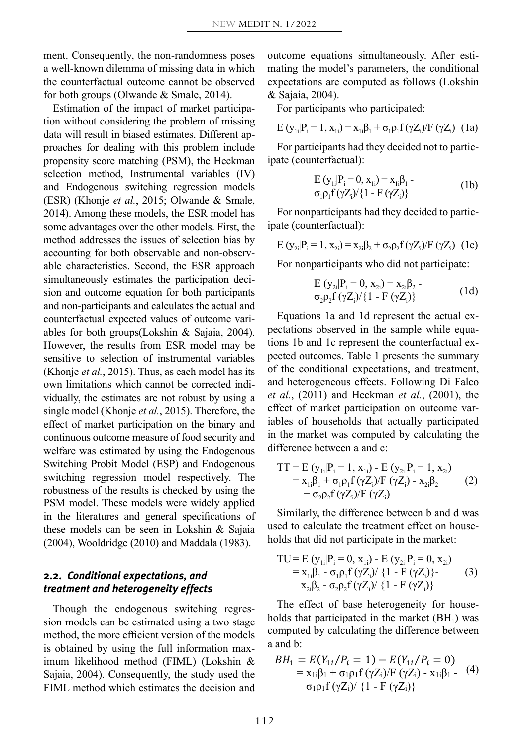ment. Consequently, the non-randomness poses a well-known dilemma of missing data in which the counterfactual outcome cannot be observed for both groups (Olwande & Smale, 2014).

Estimation of the impact of market participation without considering the problem of missing data will result in biased estimates. Different approaches for dealing with this problem include propensity score matching (PSM), the Heckman selection method, Instrumental variables (IV) and Endogenous switching regression models (ESR) (Khonje *et al.*, 2015; Olwande & Smale, 2014). Among these models, the ESR model has some advantages over the other models. First, the method addresses the issues of selection bias by accounting for both observable and non-observable characteristics. Second, the ESR approach simultaneously estimates the participation decision and outcome equation for both participants and non-participants and calculates the actual and counterfactual expected values of outcome variables for both groups(Lokshin & Sajaia, 2004). However, the results from ESR model may be sensitive to selection of instrumental variables (Khonje *et al.*, 2015). Thus, as each model has its own limitations which cannot be corrected individually, the estimates are not robust by using a single model (Khonje *et al.*, 2015). Therefore, the effect of market participation on the binary and continuous outcome measure of food security and welfare was estimated by using the Endogenous Switching Probit Model (ESP) and Endogenous switching regression model respectively. The robustness of the results is checked by using the PSM model. These models were widely applied in the literatures and general specifications of these models can be seen in Lokshin & Sajaia (2004), Wooldridge (2010) and Maddala (1983).

# **2.2.** *Conditional expectations, and treatment and heterogeneity effects*

Though the endogenous switching regression models can be estimated using a two stage method, the more efficient version of the models is obtained by using the full information maximum likelihood method (FIML) (Lokshin  $\&$   $BH_1 = E$ ) Sajaia, 2004). Consequently, the study used the  $=$ FIML method which estimates the decision and  $\sigma_1 \rho_1 f(\gamma Z_i) / \{1 - F(\gamma Z_i)\}$ 

outcome equations simultaneously. After estimating the model's parameters, the conditional expectations are computed as follows (Lokshin & Sajaia, 2004).

For participants who participated:

$$
E (y_{1i} | P_i = 1, x_{1i}) = x_{1i} \beta_1 + \sigma_1 \rho_1 f (\gamma Z_i) / F (\gamma Z_i)
$$
 (1a)

For participants had they decided not to participate (counterfactual):

$$
E (y_{1i}|P_i = 0, x_{1i}) = x_{1i}\beta_1 - \sigma_1 \rho_1 f (\gamma Z_i) / \{1 - F (\gamma Z_i)\}
$$
 (1b)

For nonparticipants had they decided to participate (counterfactual):

$$
E(y_{2i}|P_i = 1, x_{2i}) = x_{2i}\beta_2 + \sigma_2\rho_2 f(\gamma Z_i)/F(\gamma Z_i)
$$
 (1c)

For nonparticipants who did not participate:

E (y2i|Pi = 0, x2i) = x2iβ2 σ2ρ2f (γZ<sup>i</sup> )/{1 - F (γZ<sup>i</sup> )} (1d)

Equations 1a and 1d represent the actual expectations observed in the sample while equations 1b and 1c represent the counterfactual expected outcomes. Table 1 presents the summary of the conditional expectations, and treatment, and heterogeneous effects. Following Di Falco *et al.*, (2011) and Heckman *et al.*, (2001), the effect of market participation on outcome variables of households that actually participated in the market was computed by calculating the difference between a and c:

$$
TT = E (y_{1i}|P_i = 1, x_{1i}) - E (y_{2i}|P_i = 1, x_{2i})
$$
  
= x<sub>1i</sub>β<sub>1</sub> + σ<sub>1</sub>ρ<sub>1</sub>f (γZ<sub>i</sub>)/F (γZ<sub>i</sub>) - x<sub>2i</sub>β<sub>2</sub>  
+ σ<sub>2</sub>ρ<sub>2</sub>f (γZ<sub>i</sub>)/F (γZ<sub>i</sub>)

Similarly, the difference between b and d was used to calculate the treatment effect on households that did not participate in the market:

TU= E (y1i|Pi = 0, x1i) - E (y2i|Pi = 0, x2i) = x1iβ1 - σ1ρ1f (γZ<sup>i</sup> )/ {1 - F (γZ<sup>i</sup> )}- (3) x2iβ2 - σ2ρ2f (γZ<sup>i</sup> )/ {1 - F (γZ<sup>i</sup> )}

The effect of base heterogeneity for households that participated in the market  $(BH_1)$  was computed by calculating the difference between  $\frac{1}{2}$  a and b:

$$
\begin{array}{ll}\n\& BH_1 = E(Y_{1i}/P_i = 1) - E(Y_{1i}/P_i = 0) \\
\text{the} & = x_{1i}\beta_1 + \sigma_1\rho_1 f(\gamma Z_i)/F(\gamma Z_i) - x_{1i}\beta_1 - (4) \\
\text{and} & \sigma_1\rho_1 f(\gamma Z_i)/\{1 - F(\gamma Z_i)\}\n\end{array}
$$

was calculated by taking the difference between control  $\alpha$ 

Similarly, the effect of base heterogeneity (BH2) for households that did not participate in the market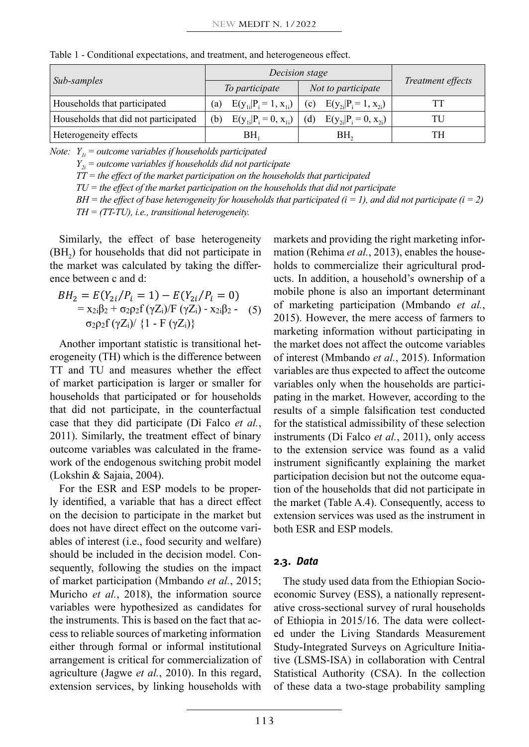| Sub-samples                          |     | Decision stage                  | Treatment effects               |    |
|--------------------------------------|-----|---------------------------------|---------------------------------|----|
|                                      |     | To participate                  | Not to participate              |    |
| Households that participated         | (a) | $E(y_{1i} P_i = 1, x_{1i})$     | (c) $E(y_{2i} P_i = 1, x_{2i})$ |    |
| Households that did not participated | (b) | $E(y_{1i} P_i = 0, x_{1i})$ (d) | $E(y_{2i} P_i = 0, x_{2i})$     | TU |
| Heterogeneity effects                |     | BH,                             | BH,                             |    |

Table 1 - Conditional expectations, and treatment, and heterogeneous effect.

*Note:*  $Y_{ij}$  = outcome variables if households participated

 $Y_{2i}$  = outcome variables if households did not participate

*TT = the effect of the market participation on the households that participated*

*TU = the effect of the market participation on the households that did not participate*

 $BH =$  the effect of base heterogeneity for households that participated  $(i = 1)$ , and did not participate  $(i = 2)$ 

 $TH = (TT-TU)$ , i.e., transitional heterogeneity.

Similarly, the effect of base heterogeneity  $(H<sub>2</sub>)$  for households that did not participate in the market was calculated by taking the difference between c and d: effect of base heterogeneity (BH2) for households that difference between c and d: the market was calculated by taking the differ- holds to commercialize their agricultural prod- $\sum_{i=1}^{n}$  of  $\sum_{i=1}^{n}$  of  $\sum_{i=1}^{n}$  of  $\sum_{i=1}^{n}$  and  $\sum_{i=1}^{n}$  and  $\sum_{i=1}^{n}$  ( $\sum_{i=1}^{n}$ ) and  $\sum_{i=1}^{n}$  $(1212)$  for nonsenous that the following the  $\frac{1}{2}$ :  $\frac{1}{2}$ 

$$
BH_2 = E(Y_{2i}/P_i = 1) - E(Y_{2i}/P_i = 0)
$$
  
=  $x_{2i}\beta_2 + \sigma_{2p2}f(\gamma Z_i)/F(\gamma Z_i) - x_{2i}\beta_2 - (5)$  of  
 $\sigma_{2p2}f(\gamma Z_i)/\{1 - F(\gamma Z_i)\}$ 

Another important statistic is transitional heterogeneity (TH) which is the difference between TT and TU and measures whether the effect of market participation is larger or smaller for households that participated or for households that did not participate, in the counterfactual case that they did participate (Di Falco *et al.*, 2011). Similarly, the treatment effect of binary outcome variables was calculated in the framework of the endogenous switching probit model (Lokshin & Sajaia, 2004).

For the ESR and ESP models to be properly identified, a variable that has a direct effect on the decision to participate in the market but does not have direct effect on the outcome variables of interest (i.e., food security and welfare) should be included in the decision model. Consequently, following the studies on the impact of market participation (Mmbando *et al.*, 2015; Muricho *et al.*, 2018), the information source variables were hypothesized as candidates for the instruments. This is based on the fact that access to reliable sources of marketing information either through formal or informal institutional arrangement is critical for commercialization of agriculture (Jagwe *et al.*, 2010). In this regard, extension services, by linking households with

markets and providing the right marketing information (Rehima *et al.*, 2013), enables the houseucts. In addition, a household's ownership of a mobile phone is also an important determinant =  $x_{2i}\beta_2 + \sigma_2 \rho_2 f(\gamma Z_i) / F(\gamma Z_i) - x_{2i}\beta_2$  - (5) of marketing participation (Mmbando *et al.*, 2015). However, the mere access of farmers to marketing information without participating in the market does not affect the outcome variables of interest (Mmbando *et al.*, 2015). Information variables are thus expected to affect the outcome variables only when the households are participating in the market. However, according to the results of a simple falsification test conducted for the statistical admissibility of these selection instruments (Di Falco *et al.*, 2011), only access to the extension service was found as a valid instrument significantly explaining the market participation decision but not the outcome equation of the households that did not participate in the market (Table A.4). Consequently, access to extension services was used as the instrument in both ESR and ESP models.

### **2.3.** *Data*

The study used data from the Ethiopian Socioeconomic Survey (ESS), a nationally representative cross-sectional survey of rural households of Ethiopia in 2015/16. The data were collected under the Living Standards Measurement Study-Integrated Surveys on Agriculture Initiative (LSMS-ISA) in collaboration with Central Statistical Authority (CSA). In the collection of these data a two-stage probability sampling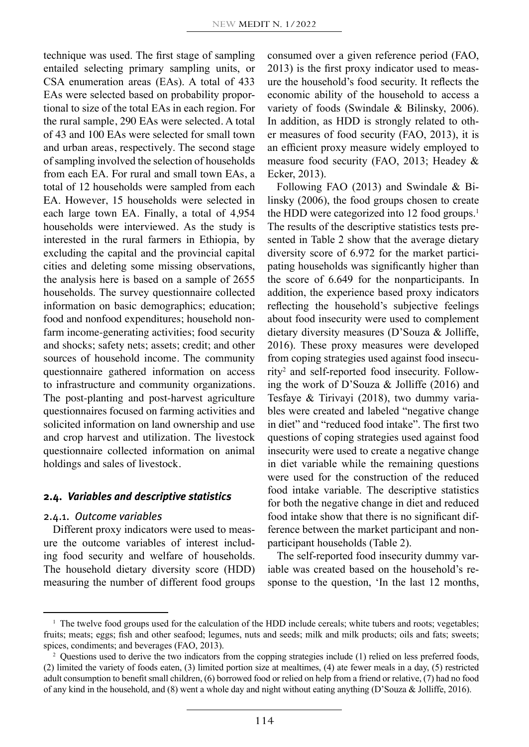technique was used. The first stage of sampling entailed selecting primary sampling units, or CSA enumeration areas (EAs). A total of 433 EAs were selected based on probability proportional to size of the total EAs in each region. For the rural sample, 290 EAs were selected. A total of 43 and 100 EAs were selected for small town and urban areas, respectively. The second stage of sampling involved the selection of households from each EA. For rural and small town EAs, a total of 12 households were sampled from each EA. However, 15 households were selected in each large town EA. Finally, a total of 4,954 households were interviewed. As the study is interested in the rural farmers in Ethiopia, by excluding the capital and the provincial capital cities and deleting some missing observations, the analysis here is based on a sample of 2655 households. The survey questionnaire collected information on basic demographics; education; food and nonfood expenditures; household nonfarm income-generating activities; food security and shocks; safety nets; assets; credit; and other sources of household income. The community questionnaire gathered information on access to infrastructure and community organizations. The post-planting and post-harvest agriculture questionnaires focused on farming activities and solicited information on land ownership and use and crop harvest and utilization. The livestock questionnaire collected information on animal holdings and sales of livestock.

#### **2.4.** *Variables and descriptive statistics*

#### 2.4.1. *Outcome variables*

Different proxy indicators were used to measure the outcome variables of interest including food security and welfare of households. The household dietary diversity score (HDD) measuring the number of different food groups consumed over a given reference period (FAO, 2013) is the first proxy indicator used to measure the household's food security. It reflects the economic ability of the household to access a variety of foods (Swindale & Bilinsky, 2006). In addition, as HDD is strongly related to other measures of food security (FAO, 2013), it is an efficient proxy measure widely employed to measure food security (FAO, 2013; Headey & Ecker, 2013).

Following FAO (2013) and Swindale & Bilinsky (2006), the food groups chosen to create the HDD were categorized into 12 food groups.<sup>1</sup> The results of the descriptive statistics tests presented in Table 2 show that the average dietary diversity score of 6.972 for the market participating households was significantly higher than the score of 6.649 for the nonparticipants. In addition, the experience based proxy indicators reflecting the household's subjective feelings about food insecurity were used to complement dietary diversity measures (D'Souza & Jolliffe, 2016). These proxy measures were developed from coping strategies used against food insecurity2 and self-reported food insecurity. Following the work of D'Souza & Jolliffe (2016) and Tesfaye & Tirivayi (2018), two dummy variables were created and labeled "negative change in diet" and "reduced food intake". The first two questions of coping strategies used against food insecurity were used to create a negative change in diet variable while the remaining questions were used for the construction of the reduced food intake variable. The descriptive statistics for both the negative change in diet and reduced food intake show that there is no significant difference between the market participant and nonparticipant households (Table 2).

The self-reported food insecurity dummy variable was created based on the household's response to the question, 'In the last 12 months,

<sup>&</sup>lt;sup>1</sup> The twelve food groups used for the calculation of the HDD include cereals; white tubers and roots; vegetables; fruits; meats; eggs; fish and other seafood; legumes, nuts and seeds; milk and milk products; oils and fats; sweets; spices, condiments; and beverages (FAO, 2013).

 $2$  Questions used to derive the two indicators from the copping strategies include (1) relied on less preferred foods, (2) limited the variety of foods eaten, (3) limited portion size at mealtimes, (4) ate fewer meals in a day, (5) restricted adult consumption to benefit small children, (6) borrowed food or relied on help from a friend or relative, (7) had no food of any kind in the household, and (8) went a whole day and night without eating anything (D'Souza & Jolliffe, 2016).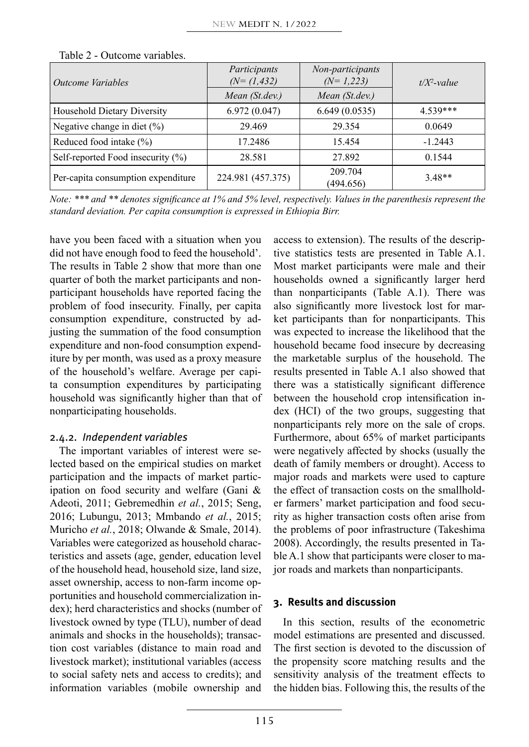| Outcome Variables                  | Participants<br>$(N=(1,432))$<br>Mean (St.dev.) | Non-participants<br>$(N=1,223)$<br>Mean (St.dev.) | $t/X^2$ -value |
|------------------------------------|-------------------------------------------------|---------------------------------------------------|----------------|
|                                    |                                                 |                                                   |                |
| <b>Household Dietary Diversity</b> | 6.972(0.047)                                    | 6.649(0.0535)                                     | 4 539***       |
| Negative change in diet (%)        | 29.469                                          | 29.354                                            | 0.0649         |
| Reduced food intake (%)            | 17.2486                                         | 15.454                                            | $-1.2443$      |
| Self-reported Food insecurity (%)  | 28.581                                          | 27.892                                            | 0.1544         |
| Per-capita consumption expenditure | 224.981 (457.375)                               | 209.704<br>(494.656)                              | $3.48**$       |

Table 2 - Outcome variables.

*Note: \*\*\* and \*\* denotes significance at 1% and 5% level, respectively. Values in the parenthesis represent the standard deviation. Per capita consumption is expressed in Ethiopia Birr.*

have you been faced with a situation when you did not have enough food to feed the household'. The results in Table 2 show that more than one quarter of both the market participants and nonparticipant households have reported facing the problem of food insecurity. Finally, per capita consumption expenditure, constructed by adjusting the summation of the food consumption expenditure and non-food consumption expenditure by per month, was used as a proxy measure of the household's welfare. Average per capita consumption expenditures by participating household was significantly higher than that of nonparticipating households.

# 2.4.2. *Independent variables*

The important variables of interest were selected based on the empirical studies on market participation and the impacts of market participation on food security and welfare (Gani & Adeoti, 2011; Gebremedhin *et al.*, 2015; Seng, 2016; Lubungu, 2013; Mmbando *et al.*, 2015; Muricho *et al.*, 2018; Olwande & Smale, 2014). Variables were categorized as household characteristics and assets (age, gender, education level of the household head, household size, land size, asset ownership, access to non-farm income opportunities and household commercialization index); herd characteristics and shocks (number of livestock owned by type (TLU), number of dead animals and shocks in the households); transaction cost variables (distance to main road and livestock market); institutional variables (access to social safety nets and access to credits); and information variables (mobile ownership and

access to extension). The results of the descriptive statistics tests are presented in Table A.1. Most market participants were male and their households owned a significantly larger herd than nonparticipants (Table A.1). There was also significantly more livestock lost for market participants than for nonparticipants. This was expected to increase the likelihood that the household became food insecure by decreasing the marketable surplus of the household. The results presented in Table A.1 also showed that there was a statistically significant difference between the household crop intensification index (HCI) of the two groups, suggesting that nonparticipants rely more on the sale of crops. Furthermore, about 65% of market participants were negatively affected by shocks (usually the death of family members or drought). Access to major roads and markets were used to capture the effect of transaction costs on the smallholder farmers' market participation and food security as higher transaction costs often arise from the problems of poor infrastructure (Takeshima 2008). Accordingly, the results presented in Table A.1 show that participants were closer to major roads and markets than nonparticipants.

# **3. Results and discussion**

In this section, results of the econometric model estimations are presented and discussed. The first section is devoted to the discussion of the propensity score matching results and the sensitivity analysis of the treatment effects to the hidden bias. Following this, the results of the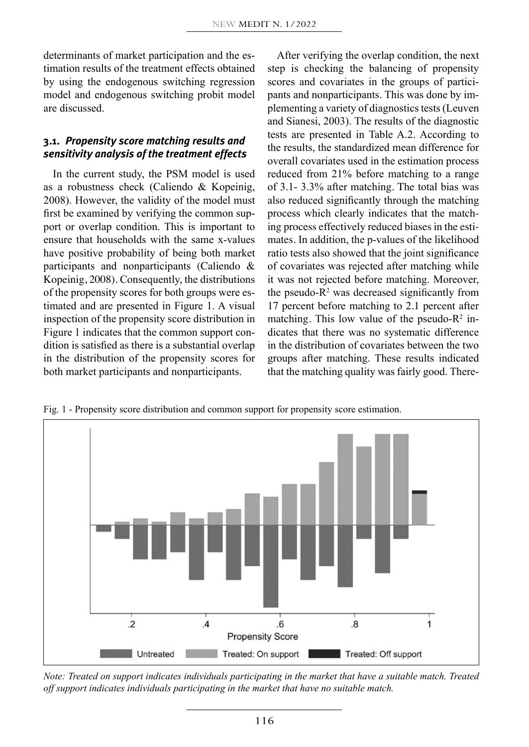determinants of market participation and the estimation results of the treatment effects obtained by using the endogenous switching regression model and endogenous switching probit model are discussed.

# **3.1.** *Propensity score matching results and sensitivity analysis of the treatment effects*

In the current study, the PSM model is used as a robustness check (Caliendo & Kopeinig, 2008). However, the validity of the model must first be examined by verifying the common support or overlap condition. This is important to ensure that households with the same x-values have positive probability of being both market participants and nonparticipants (Caliendo & Kopeinig, 2008). Consequently, the distributions of the propensity scores for both groups were estimated and are presented in Figure 1. A visual inspection of the propensity score distribution in Figure 1 indicates that the common support condition is satisfied as there is a substantial overlap in the distribution of the propensity scores for both market participants and nonparticipants.

After verifying the overlap condition, the next step is checking the balancing of propensity scores and covariates in the groups of participants and nonparticipants. This was done by implementing a variety of diagnostics tests (Leuven and Sianesi, 2003). The results of the diagnostic tests are presented in Table A.2. According to the results, the standardized mean difference for overall covariates used in the estimation process reduced from 21% before matching to a range of 3.1- 3.3% after matching. The total bias was also reduced significantly through the matching process which clearly indicates that the matching process effectively reduced biases in the estimates. In addition, the p-values of the likelihood ratio tests also showed that the joint significance of covariates was rejected after matching while it was not rejected before matching. Moreover, the pseudo- $R<sup>2</sup>$  was decreased significantly from 17 percent before matching to 2.1 percent after matching. This low value of the pseudo- $R^2$  indicates that there was no systematic difference in the distribution of covariates between the two groups after matching. These results indicated that the matching quality was fairly good. There-

Fig. 1 - Propensity score distribution and common support for propensity score estimation.



*Note: Treated on support indicates individuals participating in the market that have a suitable match. Treated off support indicates individuals participating in the market that have no suitable match.*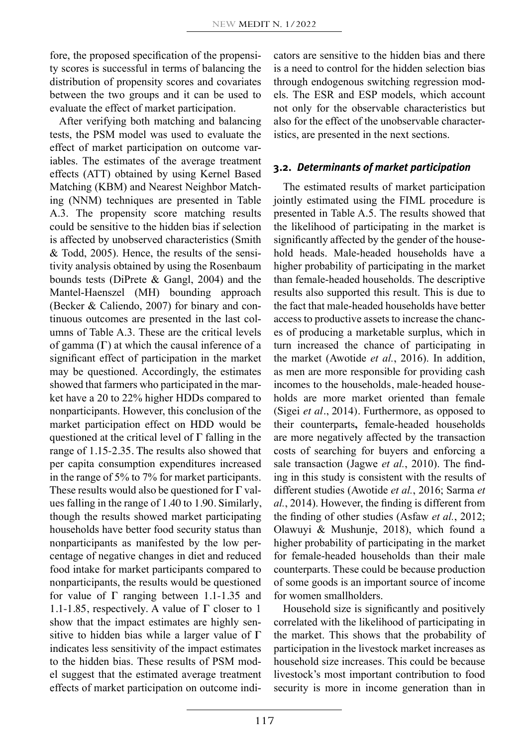fore, the proposed specification of the propensity scores is successful in terms of balancing the distribution of propensity scores and covariates between the two groups and it can be used to evaluate the effect of market participation.

After verifying both matching and balancing tests, the PSM model was used to evaluate the effect of market participation on outcome variables. The estimates of the average treatment effects (ATT) obtained by using Kernel Based Matching (KBM) and Nearest Neighbor Matching (NNM) techniques are presented in Table A.3. The propensity score matching results could be sensitive to the hidden bias if selection is affected by unobserved characteristics (Smith & Todd, 2005). Hence, the results of the sensitivity analysis obtained by using the Rosenbaum bounds tests (DiPrete & Gangl, 2004) and the Mantel-Haenszel (MH) bounding approach (Becker & Caliendo, 2007) for binary and continuous outcomes are presented in the last columns of Table A.3. These are the critical levels of gamma  $(\Gamma)$  at which the causal inference of a significant effect of participation in the market may be questioned. Accordingly, the estimates showed that farmers who participated in the market have a 20 to 22% higher HDDs compared to nonparticipants. However, this conclusion of the market participation effect on HDD would be questioned at the critical level of  $\Gamma$  falling in the range of 1.15-2.35. The results also showed that per capita consumption expenditures increased in the range of 5% to 7% for market participants. These results would also be questioned for  $\Gamma$  values falling in the range of 1.40 to 1.90. Similarly, though the results showed market participating households have better food security status than nonparticipants as manifested by the low percentage of negative changes in diet and reduced food intake for market participants compared to nonparticipants, the results would be questioned for value of  $\Gamma$  ranging between 1.1-1.35 and 1.1-1.85, respectively. A value of  $\Gamma$  closer to 1 show that the impact estimates are highly sensitive to hidden bias while a larger value of  $\Gamma$ indicates less sensitivity of the impact estimates to the hidden bias. These results of PSM model suggest that the estimated average treatment effects of market participation on outcome indicators are sensitive to the hidden bias and there is a need to control for the hidden selection bias through endogenous switching regression models. The ESR and ESP models, which account not only for the observable characteristics but also for the effect of the unobservable characteristics, are presented in the next sections.

## **3.2.** *Determinants of market participation*

The estimated results of market participation jointly estimated using the FIML procedure is presented in Table A.5. The results showed that the likelihood of participating in the market is significantly affected by the gender of the household heads. Male-headed households have a higher probability of participating in the market than female-headed households. The descriptive results also supported this result. This is due to the fact that male-headed households have better access to productive assets to increase the chances of producing a marketable surplus, which in turn increased the chance of participating in the market (Awotide *et al.*, 2016). In addition, as men are more responsible for providing cash incomes to the households, male-headed households are more market oriented than female (Sigei *et al.*, 2014). Furthermore, as opposed to their counterparts**,** female-headed households are more negatively affected by the transaction costs of searching for buyers and enforcing a sale transaction (Jagwe *et al.*, 2010). The finding in this study is consistent with the results of different studies (Awotide *et al.*, 2016; Sarma *et al.*, 2014). However, the finding is different from the finding of other studies (Asfaw *et al.*, 2012; Olawuyi & Mushunje, 2018), which found a higher probability of participating in the market for female-headed households than their male counterparts. These could be because production of some goods is an important source of income for women smallholders.

Household size is significantly and positively correlated with the likelihood of participating in the market. This shows that the probability of participation in the livestock market increases as household size increases. This could be because livestock's most important contribution to food security is more in income generation than in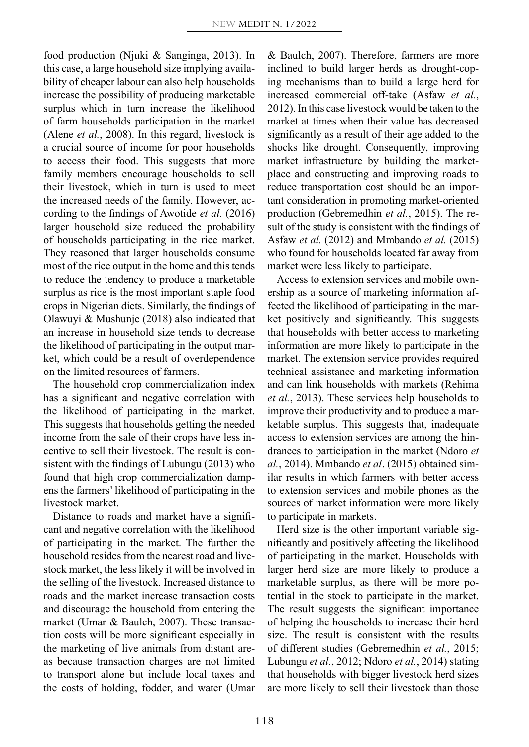food production (Njuki & Sanginga, 2013). In this case, a large household size implying availability of cheaper labour can also help households increase the possibility of producing marketable surplus which in turn increase the likelihood of farm households participation in the market (Alene *et al.*, 2008). In this regard, livestock is a crucial source of income for poor households to access their food. This suggests that more family members encourage households to sell their livestock, which in turn is used to meet the increased needs of the family. However, according to the findings of Awotide *et al.* (2016) larger household size reduced the probability of households participating in the rice market. They reasoned that larger households consume most of the rice output in the home and this tends to reduce the tendency to produce a marketable surplus as rice is the most important staple food crops in Nigerian diets. Similarly, the findings of Olawuyi & Mushunje (2018) also indicated that an increase in household size tends to decrease the likelihood of participating in the output market, which could be a result of overdependence on the limited resources of farmers.

The household crop commercialization index has a significant and negative correlation with the likelihood of participating in the market. This suggests that households getting the needed income from the sale of their crops have less incentive to sell their livestock. The result is consistent with the findings of Lubungu (2013) who found that high crop commercialization dampens the farmers' likelihood of participating in the livestock market.

Distance to roads and market have a significant and negative correlation with the likelihood of participating in the market. The further the household resides from the nearest road and livestock market, the less likely it will be involved in the selling of the livestock. Increased distance to roads and the market increase transaction costs and discourage the household from entering the market (Umar & Baulch, 2007). These transaction costs will be more significant especially in the marketing of live animals from distant areas because transaction charges are not limited to transport alone but include local taxes and the costs of holding, fodder, and water (Umar & Baulch, 2007). Therefore, farmers are more inclined to build larger herds as drought-coping mechanisms than to build a large herd for increased commercial off-take (Asfaw *et al.*, 2012). In this case livestock would be taken to the market at times when their value has decreased significantly as a result of their age added to the shocks like drought. Consequently, improving market infrastructure by building the marketplace and constructing and improving roads to reduce transportation cost should be an important consideration in promoting market-oriented production (Gebremedhin *et al.*, 2015). The result of the study is consistent with the findings of Asfaw *et al.* (2012) and Mmbando *et al.* (2015) who found for households located far away from market were less likely to participate.

Access to extension services and mobile ownership as a source of marketing information affected the likelihood of participating in the market positively and significantly. This suggests that households with better access to marketing information are more likely to participate in the market. The extension service provides required technical assistance and marketing information and can link households with markets (Rehima *et al.*, 2013). These services help households to improve their productivity and to produce a marketable surplus. This suggests that, inadequate access to extension services are among the hindrances to participation in the market (Ndoro *et al.*, 2014). Mmbando *et al.* (2015) obtained similar results in which farmers with better access to extension services and mobile phones as the sources of market information were more likely to participate in markets.

Herd size is the other important variable significantly and positively affecting the likelihood of participating in the market. Households with larger herd size are more likely to produce a marketable surplus, as there will be more potential in the stock to participate in the market. The result suggests the significant importance of helping the households to increase their herd size. The result is consistent with the results of different studies (Gebremedhin *et al.*, 2015; Lubungu *et al.*, 2012; Ndoro *et al.*, 2014) stating that households with bigger livestock herd sizes are more likely to sell their livestock than those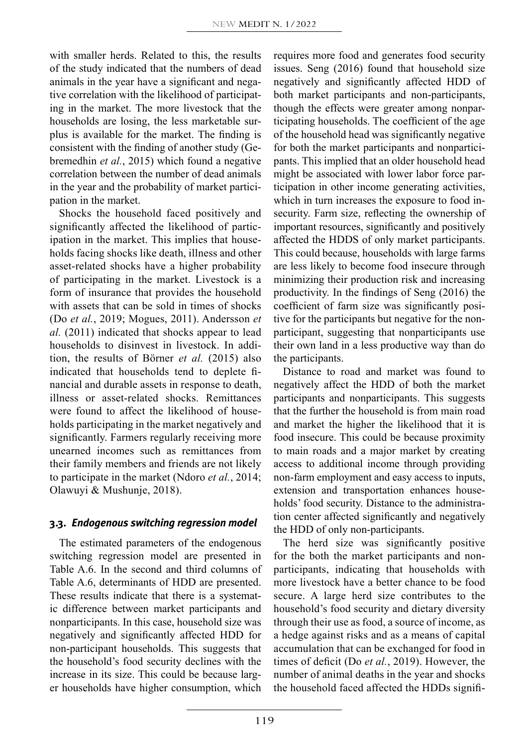with smaller herds. Related to this, the results of the study indicated that the numbers of dead animals in the year have a significant and negative correlation with the likelihood of participating in the market. The more livestock that the households are losing, the less marketable surplus is available for the market. The finding is consistent with the finding of another study (Gebremedhin *et al.*, 2015) which found a negative correlation between the number of dead animals in the year and the probability of market participation in the market.

Shocks the household faced positively and significantly affected the likelihood of participation in the market. This implies that households facing shocks like death, illness and other asset-related shocks have a higher probability of participating in the market. Livestock is a form of insurance that provides the household with assets that can be sold in times of shocks (Do *et al.*, 2019; Mogues, 2011). Andersson *et al.* (2011) indicated that shocks appear to lead households to disinvest in livestock. In addition, the results of Börner *et al.* (2015) also indicated that households tend to deplete financial and durable assets in response to death, illness or asset-related shocks. Remittances were found to affect the likelihood of households participating in the market negatively and significantly. Farmers regularly receiving more unearned incomes such as remittances from their family members and friends are not likely to participate in the market (Ndoro *et al.*, 2014; Olawuyi & Mushunje, 2018).

### **3.3.** *Endogenous switching regression model*

The estimated parameters of the endogenous switching regression model are presented in Table A.6. In the second and third columns of Table A.6, determinants of HDD are presented. These results indicate that there is a systematic difference between market participants and nonparticipants. In this case, household size was negatively and significantly affected HDD for non-participant households. This suggests that the household's food security declines with the increase in its size. This could be because larger households have higher consumption, which requires more food and generates food security issues. Seng (2016) found that household size negatively and significantly affected HDD of both market participants and non-participants, though the effects were greater among nonparticipating households. The coefficient of the age of the household head was significantly negative for both the market participants and nonparticipants. This implied that an older household head might be associated with lower labor force participation in other income generating activities, which in turn increases the exposure to food insecurity. Farm size, reflecting the ownership of important resources, significantly and positively affected the HDDS of only market participants. This could because, households with large farms are less likely to become food insecure through minimizing their production risk and increasing productivity. In the findings of Seng (2016) the coefficient of farm size was significantly positive for the participants but negative for the nonparticipant, suggesting that nonparticipants use their own land in a less productive way than do the participants.

Distance to road and market was found to negatively affect the HDD of both the market participants and nonparticipants. This suggests that the further the household is from main road and market the higher the likelihood that it is food insecure. This could be because proximity to main roads and a major market by creating access to additional income through providing non-farm employment and easy access to inputs, extension and transportation enhances households' food security. Distance to the administration center affected significantly and negatively the HDD of only non-participants.

The herd size was significantly positive for the both the market participants and nonparticipants, indicating that households with more livestock have a better chance to be food secure. A large herd size contributes to the household's food security and dietary diversity through their use as food, a source of income, as a hedge against risks and as a means of capital accumulation that can be exchanged for food in times of deficit (Do *et al.*, 2019). However, the number of animal deaths in the year and shocks the household faced affected the HDDs signifi-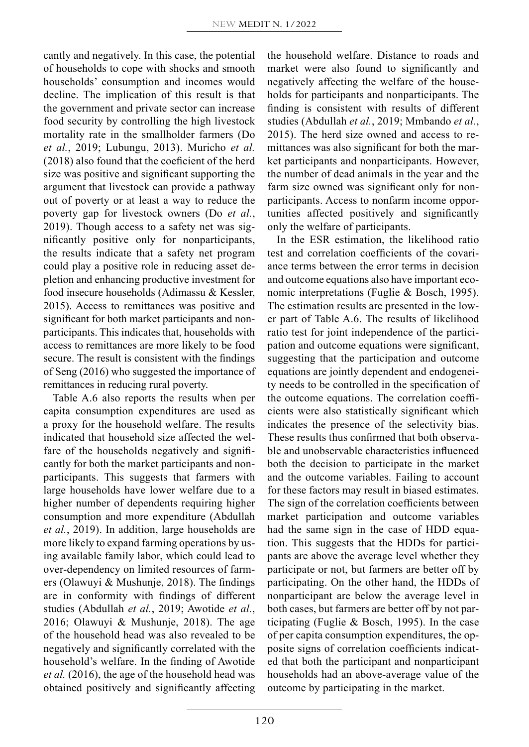cantly and negatively. In this case, the potential of households to cope with shocks and smooth households' consumption and incomes would decline. The implication of this result is that the government and private sector can increase food security by controlling the high livestock mortality rate in the smallholder farmers (Do *et al.*, 2019; Lubungu, 2013). Muricho *et al.* (2018) also found that the coeficient of the herd size was positive and significant supporting the argument that livestock can provide a pathway out of poverty or at least a way to reduce the poverty gap for livestock owners (Do *et al.*, 2019). Though access to a safety net was significantly positive only for nonparticipants, the results indicate that a safety net program could play a positive role in reducing asset depletion and enhancing productive investment for food insecure households (Adimassu & Kessler, 2015). Access to remittances was positive and significant for both market participants and nonparticipants. This indicates that, households with access to remittances are more likely to be food secure. The result is consistent with the findings of Seng (2016) who suggested the importance of remittances in reducing rural poverty.

Table A.6 also reports the results when per capita consumption expenditures are used as a proxy for the household welfare. The results indicated that household size affected the welfare of the households negatively and significantly for both the market participants and nonparticipants. This suggests that farmers with large households have lower welfare due to a higher number of dependents requiring higher consumption and more expenditure (Abdullah *et al.*, 2019). In addition, large households are more likely to expand farming operations by using available family labor, which could lead to over-dependency on limited resources of farmers (Olawuyi & Mushunje, 2018). The findings are in conformity with findings of different studies (Abdullah *et al.*, 2019; Awotide *et al.*, 2016; Olawuyi & Mushunje, 2018). The age of the household head was also revealed to be negatively and significantly correlated with the household's welfare. In the finding of Awotide *et al.* (2016), the age of the household head was obtained positively and significantly affecting the household welfare. Distance to roads and market were also found to significantly and negatively affecting the welfare of the households for participants and nonparticipants. The finding is consistent with results of different studies (Abdullah *et al.*, 2019; Mmbando *et al.*, 2015). The herd size owned and access to remittances was also significant for both the market participants and nonparticipants. However, the number of dead animals in the year and the farm size owned was significant only for nonparticipants. Access to nonfarm income opportunities affected positively and significantly only the welfare of participants.

In the ESR estimation, the likelihood ratio test and correlation coefficients of the covariance terms between the error terms in decision and outcome equations also have important economic interpretations (Fuglie & Bosch, 1995). The estimation results are presented in the lower part of Table A.6. The results of likelihood ratio test for joint independence of the participation and outcome equations were significant, suggesting that the participation and outcome equations are jointly dependent and endogeneity needs to be controlled in the specification of the outcome equations. The correlation coefficients were also statistically significant which indicates the presence of the selectivity bias. These results thus confirmed that both observable and unobservable characteristics influenced both the decision to participate in the market and the outcome variables. Failing to account for these factors may result in biased estimates. The sign of the correlation coefficients between market participation and outcome variables had the same sign in the case of HDD equation. This suggests that the HDDs for participants are above the average level whether they participate or not, but farmers are better off by participating. On the other hand, the HDDs of nonparticipant are below the average level in both cases, but farmers are better off by not participating (Fuglie & Bosch, 1995). In the case of per capita consumption expenditures, the opposite signs of correlation coefficients indicated that both the participant and nonparticipant households had an above-average value of the outcome by participating in the market.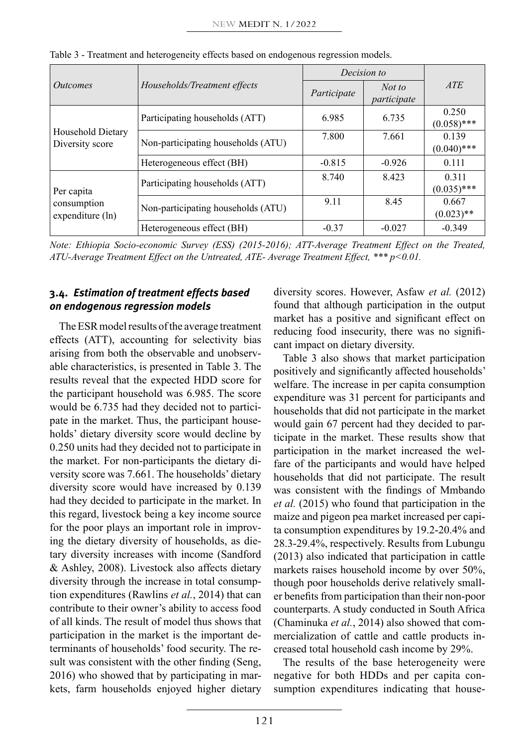|                                               |                                    | Decision to |                       |                        |
|-----------------------------------------------|------------------------------------|-------------|-----------------------|------------------------|
| <i><u>Outcomes</u></i>                        | Households/Treatment effects       | Participate | Not to<br>participate | <i>ATE</i>             |
|                                               | Participating households (ATT)     | 6.985       | 6.735                 | 0.250<br>$(0.058)$ *** |
| Household Dietary<br>Diversity score          | Non-participating households (ATU) | 7.800       | 7.661                 | 0.139<br>$(0.040)$ *** |
|                                               | Heterogeneous effect (BH)          | $-0.815$    | $-0.926$              | 0.111                  |
| Per capita<br>consumption<br>expenditure (ln) | Participating households (ATT)     | 8.740       | 8.423                 | 0.311<br>$(0.035)$ *** |
|                                               | Non-participating households (ATU) | 9.11        | 8.45                  | 0.667<br>$(0.023)$ **  |
|                                               | Heterogeneous effect (BH)          | $-0.37$     | $-0.027$              | $-0.349$               |

Table 3 - Treatment and heterogeneity effects based on endogenous regression models.

*Note: Ethiopia Socio-economic Survey (ESS) (2015-2016); ATT-Average Treatment Effect on the Treated, ATU-Average Treatment Effect on the Untreated, ATE- Average Treatment Effect, \*\*\* p<0.01.*

# **3.4.** *Estimation of treatment effects based on endogenous regression models*

The ESR model results of the average treatment effects (ATT), accounting for selectivity bias arising from both the observable and unobservable characteristics, is presented in Table 3. The results reveal that the expected HDD score for the participant household was 6.985. The score would be 6.735 had they decided not to participate in the market. Thus, the participant households' dietary diversity score would decline by 0.250 units had they decided not to participate in the market. For non-participants the dietary diversity score was 7.661. The households' dietary diversity score would have increased by 0.139 had they decided to participate in the market. In this regard, livestock being a key income source for the poor plays an important role in improving the dietary diversity of households, as dietary diversity increases with income (Sandford & Ashley, 2008). Livestock also affects dietary diversity through the increase in total consumption expenditures (Rawlins *et al.*, 2014) that can contribute to their owner's ability to access food of all kinds. The result of model thus shows that participation in the market is the important determinants of households' food security. The result was consistent with the other finding (Seng, 2016) who showed that by participating in markets, farm households enjoyed higher dietary

diversity scores. However, Asfaw *et al.* (2012) found that although participation in the output market has a positive and significant effect on reducing food insecurity, there was no significant impact on dietary diversity.

Table 3 also shows that market participation positively and significantly affected households' welfare. The increase in per capita consumption expenditure was 31 percent for participants and households that did not participate in the market would gain 67 percent had they decided to participate in the market. These results show that participation in the market increased the welfare of the participants and would have helped households that did not participate. The result was consistent with the findings of Mmbando *et al.* (2015) who found that participation in the maize and pigeon pea market increased per capita consumption expenditures by 19.2-20.4% and 28.3-29.4%, respectively. Results from Lubungu (2013) also indicated that participation in cattle markets raises household income by over 50%, though poor households derive relatively smaller benefits from participation than their non-poor counterparts. A study conducted in South Africa (Chaminuka *et al.*, 2014) also showed that commercialization of cattle and cattle products increased total household cash income by 29%.

The results of the base heterogeneity were negative for both HDDs and per capita consumption expenditures indicating that house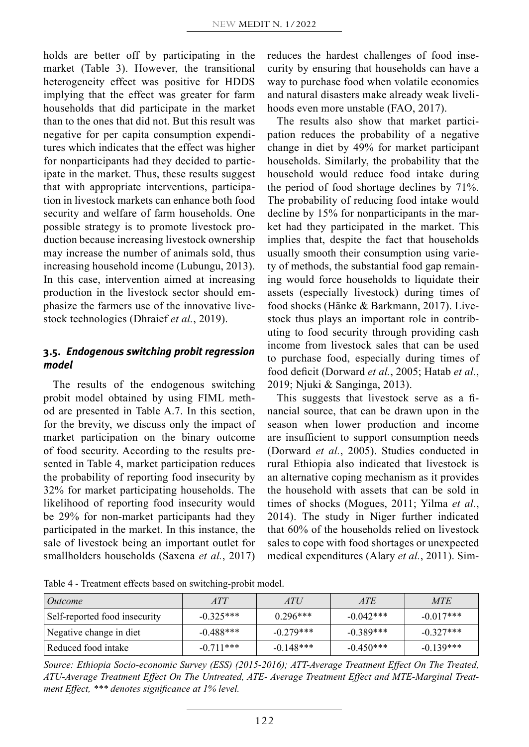holds are better off by participating in the market (Table 3). However, the transitional heterogeneity effect was positive for HDDS implying that the effect was greater for farm households that did participate in the market than to the ones that did not. But this result was negative for per capita consumption expenditures which indicates that the effect was higher for nonparticipants had they decided to participate in the market. Thus, these results suggest that with appropriate interventions, participation in livestock markets can enhance both food security and welfare of farm households. One possible strategy is to promote livestock production because increasing livestock ownership may increase the number of animals sold, thus increasing household income (Lubungu, 2013). In this case, intervention aimed at increasing production in the livestock sector should emphasize the farmers use of the innovative livestock technologies (Dhraief *et al.*, 2019).

# **3.5.** *Endogenous switching probit regression model*

The results of the endogenous switching probit model obtained by using FIML method are presented in Table A.7. In this section, for the brevity, we discuss only the impact of market participation on the binary outcome of food security. According to the results presented in Table 4, market participation reduces the probability of reporting food insecurity by 32% for market participating households. The likelihood of reporting food insecurity would be 29% for non-market participants had they participated in the market. In this instance, the sale of livestock being an important outlet for smallholders households (Saxena *et al.*, 2017) reduces the hardest challenges of food insecurity by ensuring that households can have a way to purchase food when volatile economies and natural disasters make already weak livelihoods even more unstable (FAO, 2017).

The results also show that market participation reduces the probability of a negative change in diet by 49% for market participant households. Similarly, the probability that the household would reduce food intake during the period of food shortage declines by 71%. The probability of reducing food intake would decline by 15% for nonparticipants in the market had they participated in the market. This implies that, despite the fact that households usually smooth their consumption using variety of methods, the substantial food gap remaining would force households to liquidate their assets (especially livestock) during times of food shocks (Hänke & Barkmann, 2017). Livestock thus plays an important role in contributing to food security through providing cash income from livestock sales that can be used to purchase food, especially during times of food deficit (Dorward *et al.*, 2005; Hatab *et al.*, 2019; Njuki & Sanginga, 2013).

This suggests that livestock serve as a financial source, that can be drawn upon in the season when lower production and income are insufficient to support consumption needs (Dorward *et al.*, 2005). Studies conducted in rural Ethiopia also indicated that livestock is an alternative coping mechanism as it provides the household with assets that can be sold in times of shocks (Mogues, 2011; Yilma *et al.*, 2014). The study in Niger further indicated that 60% of the households relied on livestock sales to cope with food shortages or unexpected medical expenditures (Alary *et al.*, 2011). Sim-

Table 4 - Treatment effects based on switching-probit model.

| Outcome                       | ATT         | ATU         | <i>ATE</i>  | <b>MTE</b>  |
|-------------------------------|-------------|-------------|-------------|-------------|
| Self-reported food insecurity | $-0.325***$ | $0.296***$  | $-0.042***$ | $-0.017***$ |
| Negative change in diet       | $-0.488***$ | $-0.279***$ | $-0.389***$ | $-0.327***$ |
| Reduced food intake           | $-0.711***$ | $-0.148***$ | $-0.450***$ | $-0.139***$ |

*Source: Ethiopia Socio-economic Survey (ESS) (2015-2016); ATT-Average Treatment Effect On The Treated, ATU-Average Treatment Effect On The Untreated, ATE- Average Treatment Effect and MTE-Marginal Treatment Effect, \*\*\* denotes significance at 1% level.*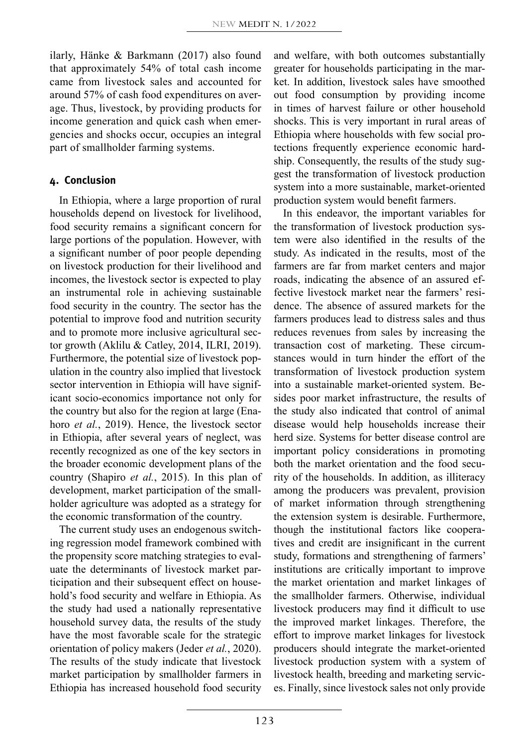ilarly, Hänke & Barkmann (2017) also found that approximately 54% of total cash income came from livestock sales and accounted for around 57% of cash food expenditures on average. Thus, livestock, by providing products for income generation and quick cash when emergencies and shocks occur, occupies an integral part of smallholder farming systems.

## **4. Conclusion**

In Ethiopia, where a large proportion of rural households depend on livestock for livelihood, food security remains a significant concern for large portions of the population. However, with a significant number of poor people depending on livestock production for their livelihood and incomes, the livestock sector is expected to play an instrumental role in achieving sustainable food security in the country. The sector has the potential to improve food and nutrition security and to promote more inclusive agricultural sector growth (Aklilu & Catley, 2014, ILRI, 2019). Furthermore, the potential size of livestock population in the country also implied that livestock sector intervention in Ethiopia will have significant socio-economics importance not only for the country but also for the region at large (Enahoro *et al.*, 2019). Hence, the livestock sector in Ethiopia, after several years of neglect, was recently recognized as one of the key sectors in the broader economic development plans of the country (Shapiro *et al.*, 2015). In this plan of development, market participation of the smallholder agriculture was adopted as a strategy for the economic transformation of the country.

The current study uses an endogenous switching regression model framework combined with the propensity score matching strategies to evaluate the determinants of livestock market participation and their subsequent effect on household's food security and welfare in Ethiopia. As the study had used a nationally representative household survey data, the results of the study have the most favorable scale for the strategic orientation of policy makers (Jeder *et al.*, 2020). The results of the study indicate that livestock market participation by smallholder farmers in Ethiopia has increased household food security

and welfare, with both outcomes substantially greater for households participating in the market. In addition, livestock sales have smoothed out food consumption by providing income in times of harvest failure or other household shocks. This is very important in rural areas of Ethiopia where households with few social protections frequently experience economic hardship. Consequently, the results of the study suggest the transformation of livestock production system into a more sustainable, market-oriented production system would benefit farmers.

In this endeavor, the important variables for the transformation of livestock production system were also identified in the results of the study. As indicated in the results, most of the farmers are far from market centers and major roads, indicating the absence of an assured effective livestock market near the farmers' residence. The absence of assured markets for the farmers produces lead to distress sales and thus reduces revenues from sales by increasing the transaction cost of marketing. These circumstances would in turn hinder the effort of the transformation of livestock production system into a sustainable market-oriented system. Besides poor market infrastructure, the results of the study also indicated that control of animal disease would help households increase their herd size. Systems for better disease control are important policy considerations in promoting both the market orientation and the food security of the households. In addition, as illiteracy among the producers was prevalent, provision of market information through strengthening the extension system is desirable. Furthermore, though the institutional factors like cooperatives and credit are insignificant in the current study, formations and strengthening of farmers' institutions are critically important to improve the market orientation and market linkages of the smallholder farmers. Otherwise, individual livestock producers may find it difficult to use the improved market linkages. Therefore, the effort to improve market linkages for livestock producers should integrate the market-oriented livestock production system with a system of livestock health, breeding and marketing services. Finally, since livestock sales not only provide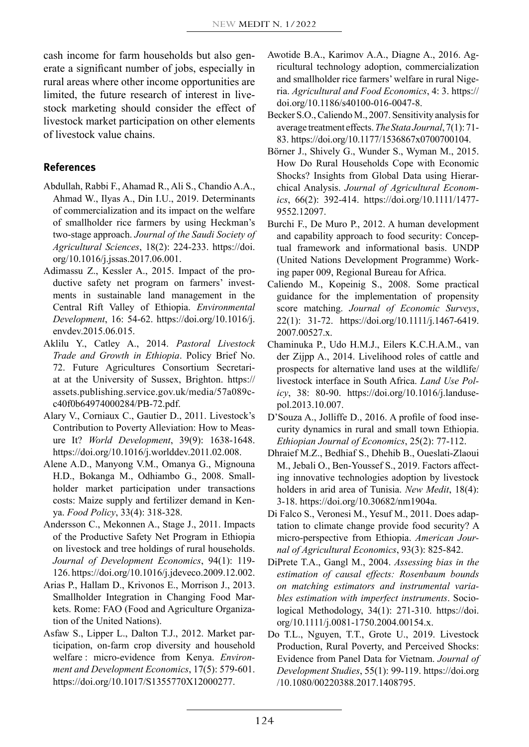cash income for farm households but also generate a significant number of jobs, especially in rural areas where other income opportunities are limited, the future research of interest in livestock marketing should consider the effect of livestock market participation on other elements of livestock value chains.

## **References**

- Abdullah, Rabbi F., Ahamad R., Ali S., Chandio A.A., Ahmad W., Ilyas A., Din I.U., 2019. Determinants of commercialization and its impact on the welfare of smallholder rice farmers by using Heckman's two-stage approach. *Journal of the Saudi Society of Agricultural Sciences*, 18(2): 224-233. https://doi. org/10.1016/j.jssas.2017.06.001.
- Adimassu Z., Kessler A., 2015. Impact of the productive safety net program on farmers' investments in sustainable land management in the Central Rift Valley of Ethiopia. *Environmental Development*, 16: 54-62. https://doi.org/10.1016/j. envdev.2015.06.015.
- Aklilu Y., Catley A., 2014. *Pastoral Livestock Trade and Growth in Ethiopia*. Policy Brief No. 72. Future Agricultures Consortium Secretariat at the University of Sussex, Brighton. https:// assets.publishing.service.gov.uk/media/57a089cc40f0b64974000284/PB-72.pdf.
- Alary V., Corniaux C., Gautier D., 2011. Livestock's Contribution to Poverty Alleviation: How to Measure It? *World Development*, 39(9): 1638-1648. https://doi.org/10.1016/j.worlddev.2011.02.008.
- Alene A.D., Manyong V.M., Omanya G., Mignouna H.D., Bokanga M., Odhiambo G., 2008. Smallholder market participation under transactions costs: Maize supply and fertilizer demand in Kenya. *Food Policy*, 33(4): 318-328.
- Andersson C., Mekonnen A., Stage J., 2011. Impacts of the Productive Safety Net Program in Ethiopia on livestock and tree holdings of rural households. *Journal of Development Economics*, 94(1): 119- 126. https://doi.org/10.1016/j.jdeveco.2009.12.002.
- Arias P., Hallam D., Krivonos E., Morrison J., 2013. Smallholder Integration in Changing Food Markets. Rome: FAO (Food and Agriculture Organization of the United Nations).
- Asfaw S., Lipper L., Dalton T.J., 2012. Market participation, on-farm crop diversity and household welfare : micro-evidence from Kenya. *Environment and Development Economics*, 17(5): 579-601. https://doi.org/10.1017/S1355770X12000277.
- Awotide B.A., Karimov A.A., Diagne A., 2016. Agricultural technology adoption, commercialization and smallholder rice farmers' welfare in rural Nigeria. *Agricultural and Food Economics*, 4: 3. https:// doi.org/10.1186/s40100-016-0047-8.
- Becker S.O., Caliendo M., 2007. Sensitivity analysis for average treatment effects. *The Stata Journal*, 7(1): 71- 83. https://doi.org/10.1177/1536867x0700700104.
- Börner J., Shively G., Wunder S., Wyman M., 2015. How Do Rural Households Cope with Economic Shocks? Insights from Global Data using Hierarchical Analysis. *Journal of Agricultural Economics*, 66(2): 392-414. https://doi.org/10.1111/1477- 9552.12097.
- Burchi F., De Muro P., 2012. A human development and capability approach to food security: Conceptual framework and informational basis. UNDP (United Nations Development Programme) Working paper 009, Regional Bureau for Africa.
- Caliendo M., Kopeinig S., 2008. Some practical guidance for the implementation of propensity score matching. *Journal of Economic Surveys*, 22(1): 31-72. https://doi.org/10.1111/j.1467-6419. 2007.00527.x.
- Chaminuka P., Udo H.M.J., Eilers K.C.H.A.M., van der Zijpp A., 2014. Livelihood roles of cattle and prospects for alternative land uses at the wildlife/ livestock interface in South Africa. *Land Use Policy*, 38: 80-90. https://doi.org/10.1016/j.landusepol.2013.10.007.
- D'Souza A., Jolliffe D., 2016. A profile of food insecurity dynamics in rural and small town Ethiopia. *Ethiopian Journal of Economics*, 25(2): 77-112.
- Dhraief M.Z., Bedhiaf S., Dhehib B., Oueslati-Zlaoui M., Jebali O., Ben-Youssef S., 2019. Factors affecting innovative technologies adoption by livestock holders in arid area of Tunisia. *New Medit*, 18(4): 3-18. https://doi.org/10.30682/nm1904a.
- Di Falco S., Veronesi M., Yesuf M., 2011. Does adaptation to climate change provide food security? A micro-perspective from Ethiopia. *American Journal of Agricultural Economics*, 93(3): 825-842.
- DiPrete T.A., Gangl M., 2004. *Assessing bias in the estimation of causal effects: Rosenbaum bounds on matching estimators and instrumental variables estimation with imperfect instruments*. Sociological Methodology, 34(1): 271-310. https://doi. org/10.1111/j.0081-1750.2004.00154.x.
- Do T.L., Nguyen, T.T., Grote U., 2019. Livestock Production, Rural Poverty, and Perceived Shocks: Evidence from Panel Data for Vietnam. *Journal of Development Studies*, 55(1): 99-119. https://doi.org /10.1080/00220388.2017.1408795.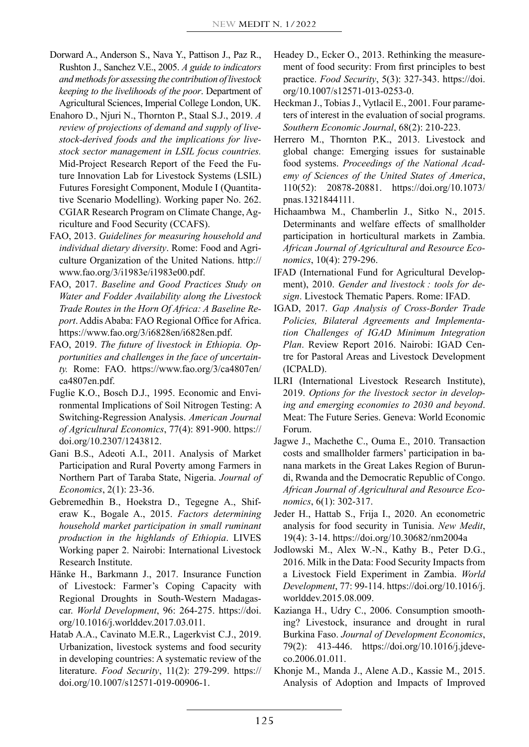- Dorward A., Anderson S., Nava Y., Pattison J., Paz R., Rushton J., Sanchez V.E., 2005. *A guide to indicators and methods for assessing the contribution of livestock keeping to the livelihoods of the poor*. Department of Agricultural Sciences, Imperial College London, UK.
- Enahoro D., Njuri N., Thornton P., Staal S.J., 2019. *A review of projections of demand and supply of livestock-derived foods and the implications for livestock sector management in LSIL focus countries.*  Mid-Project Research Report of the Feed the Future Innovation Lab for Livestock Systems (LSIL) Futures Foresight Component, Module I (Quantitative Scenario Modelling). Working paper No. 262. CGIAR Research Program on Climate Change, Agriculture and Food Security (CCAFS).
- FAO, 2013. *Guidelines for measuring household and individual dietary diversity*. Rome: Food and Agriculture Organization of the United Nations. http:// www.fao.org/3/i1983e/i1983e00.pdf.
- FAO, 2017. *Baseline and Good Practices Study on Water and Fodder Availability along the Livestock Trade Routes in the Horn Of Africa: A Baseline Report*. Addis Ababa: FAO Regional Office for Africa. https://www.fao.org/3/i6828en/i6828en.pdf.
- FAO, 2019. *The future of livestock in Ethiopia. Opportunities and challenges in the face of uncertainty.* Rome: FAO. https://www.fao.org/3/ca4807en/ ca4807en.pdf.
- Fuglie K.O., Bosch D.J., 1995. Economic and Environmental Implications of Soil Nitrogen Testing: A Switching-Regression Analysis. *American Journal of Agricultural Economics*, 77(4): 891-900. https:// doi.org/10.2307/1243812.
- Gani B.S., Adeoti A.I., 2011. Analysis of Market Participation and Rural Poverty among Farmers in Northern Part of Taraba State, Nigeria. *Journal of Economics*, 2(1): 23-36.
- Gebremedhin B., Hoekstra D., Tegegne A., Shiferaw K., Bogale A., 2015. *Factors determining household market participation in small ruminant production in the highlands of Ethiopia*. LIVES Working paper 2. Nairobi: International Livestock Research Institute.
- Hänke H., Barkmann J., 2017. Insurance Function of Livestock: Farmer's Coping Capacity with Regional Droughts in South-Western Madagascar. *World Development*, 96: 264-275. https://doi. org/10.1016/j.worlddev.2017.03.011.
- Hatab A.A., Cavinato M.E.R., Lagerkvist C.J., 2019. Urbanization, livestock systems and food security in developing countries: A systematic review of the literature. *Food Security*, 11(2): 279-299. https:// doi.org/10.1007/s12571-019-00906-1.
- Headey D., Ecker O., 2013. Rethinking the measurement of food security: From first principles to best practice. *Food Security*, 5(3): 327-343. https://doi. org/10.1007/s12571-013-0253-0.
- Heckman J., Tobias J., Vytlacil E., 2001. Four parameters of interest in the evaluation of social programs. *Southern Economic Journal*, 68(2): 210-223.
- Herrero M., Thornton P.K., 2013. Livestock and global change: Emerging issues for sustainable food systems. *Proceedings of the National Academy of Sciences of the United States of America*, 110(52): 20878-20881. https://doi.org/10.1073/ pnas.1321844111.
- Hichaambwa M., Chamberlin J., Sitko N., 2015. Determinants and welfare effects of smallholder participation in horticultural markets in Zambia. *African Journal of Agricultural and Resource Economics*, 10(4): 279-296.
- IFAD (International Fund for Agricultural Development), 2010. *Gender and livestock : tools for design*. Livestock Thematic Papers. Rome: IFAD.
- IGAD, 2017. *Gap Analysis of Cross-Border Trade Policies, Bilateral Agreements and Implementation Challenges of IGAD Minimum Integration Plan*. Review Report 2016. Nairobi: IGAD Centre for Pastoral Areas and Livestock Development (ICPALD).
- ILRI (International Livestock Research Institute), 2019. *Options for the livestock sector in developing and emerging economies to 2030 and beyond*. Meat: The Future Series. Geneva: World Economic Forum.
- Jagwe J., Machethe C., Ouma E., 2010. Transaction costs and smallholder farmers' participation in banana markets in the Great Lakes Region of Burundi, Rwanda and the Democratic Republic of Congo. *African Journal of Agricultural and Resource Economics*, 6(1): 302-317.
- Jeder H., Hattab S., Frija I., 2020. An econometric analysis for food security in Tunisia. *New Medit*, 19(4): 3-14. https://doi.org/10.30682/nm2004a
- Jodlowski M., Alex W.-N., Kathy B., Peter D.G., 2016. Milk in the Data: Food Security Impacts from a Livestock Field Experiment in Zambia. *World Development*, 77: 99-114. https://doi.org/10.1016/j. worlddev.2015.08.009.
- Kazianga H., Udry C., 2006. Consumption smoothing? Livestock, insurance and drought in rural Burkina Faso. *Journal of Development Economics*, 79(2): 413-446. https://doi.org/10.1016/j.jdeveco.2006.01.011.
- Khonje M., Manda J., Alene A.D., Kassie M., 2015. Analysis of Adoption and Impacts of Improved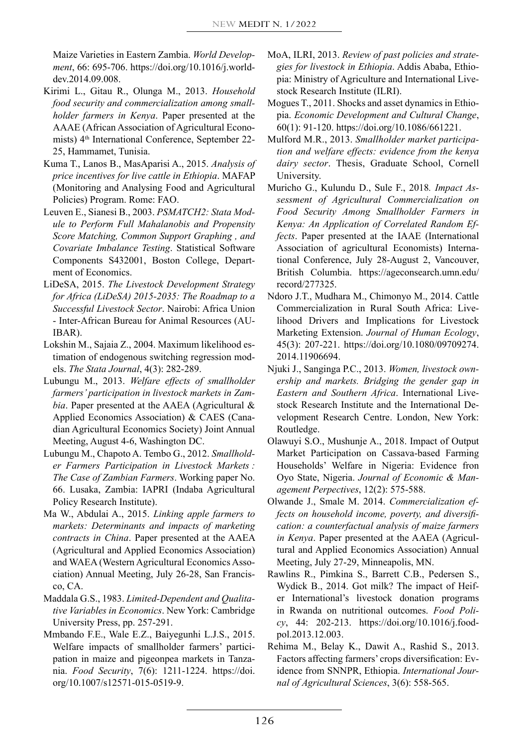Maize Varieties in Eastern Zambia. *World Development*, 66: 695-706. https://doi.org/10.1016/j.worlddev.2014.09.008.

- Kirimi L., Gitau R., Olunga M., 2013. *Household food security and commercialization among smallholder farmers in Kenya*. Paper presented at the AAAE (African Association of Agricultural Economists) 4<sup>th</sup> International Conference, September 22-25, Hammamet, Tunisia.
- Kuma T., Lanos B., MasAparisi A., 2015. *Analysis of price incentives for live cattle in Ethiopia*. MAFAP (Monitoring and Analysing Food and Agricultural Policies) Program. Rome: FAO.
- Leuven E., Sianesi B., 2003. *PSMATCH2: Stata Module to Perform Full Mahalanobis and Propensity Score Matching, Common Support Graphing , and Covariate Imbalance Testing*. Statistical Software Components S432001, Boston College, Department of Economics.
- LiDeSA, 2015. *The Livestock Development Strategy for Africa (LiDeSA) 2015-2035: The Roadmap to a Successful Livestock Sector*. Nairobi: Africa Union - Inter-African Bureau for Animal Resources (AU-IBAR).
- Lokshin M., Sajaia Z., 2004. Maximum likelihood estimation of endogenous switching regression models. *The Stata Journal*, 4(3): 282-289.
- Lubungu M., 2013. *Welfare effects of smallholder farmers' participation in livestock markets in Zambia*. Paper presented at the AAEA (Agricultural & Applied Economics Association) & CAES (Canadian Agricultural Economics Society) Joint Annual Meeting, August 4-6, Washington DC.
- Lubungu M., Chapoto A. Tembo G., 2012. *Smallholder Farmers Participation in Livestock Markets : The Case of Zambian Farmers*. Working paper No. 66. Lusaka, Zambia: IAPRI (Indaba Agricultural Policy Research Institute).
- Ma W., Abdulai A., 2015. *Linking apple farmers to markets: Determinants and impacts of marketing contracts in China*. Paper presented at the AAEA (Agricultural and Applied Economics Association) and WAEA (Western Agricultural Economics Association) Annual Meeting, July 26-28, San Francisco, CA.
- Maddala G.S., 1983. *Limited-Dependent and Qualitative Variables in Economics*. New York: Cambridge University Press, pp. 257-291.
- Mmbando F.E., Wale E.Z., Baiyegunhi L.J.S., 2015. Welfare impacts of smallholder farmers' participation in maize and pigeonpea markets in Tanzania. *Food Security*, 7(6): 1211-1224. https://doi. org/10.1007/s12571-015-0519-9.
- MoA, ILRI, 2013. *Review of past policies and strategies for livestock in Ethiopia*. Addis Ababa, Ethiopia: Ministry of Agriculture and International Livestock Research Institute (ILRI).
- Mogues T., 2011. Shocks and asset dynamics in Ethiopia. *Economic Development and Cultural Change*, 60(1): 91-120. https://doi.org/10.1086/661221.
- Mulford M.R., 2013. *Smallholder market participation and welfare effects: evidence from the kenya dairy sector*. Thesis, Graduate School, Cornell University.
- Muricho G., Kulundu D., Sule F., 2018*. Impact Assessment of Agricultural Commercialization on Food Security Among Smallholder Farmers in Kenya: An Application of Correlated Random Effects*. Paper presented at the IAAE (International Association of agricultural Economists) International Conference, July 28-August 2, Vancouver, British Columbia. https://ageconsearch.umn.edu/ record/277325.
- Ndoro J.T., Mudhara M., Chimonyo M., 2014. Cattle Commercialization in Rural South Africa: Livelihood Drivers and Implications for Livestock Marketing Extension. *Journal of Human Ecology*, 45(3): 207-221. https://doi.org/10.1080/09709274. 2014.11906694.
- Njuki J., Sanginga P.C., 2013. *Women, livestock ownership and markets. Bridging the gender gap in Eastern and Southern Africa*. International Livestock Research Institute and the International Development Research Centre. London, New York: Routledge.
- Olawuyi S.O., Mushunje A., 2018. Impact of Output Market Participation on Cassava-based Farming Households' Welfare in Nigeria: Evidence fron Oyo State, Nigeria. *Journal of Economic & Management Perpectives*, 12(2): 575-588.
- Olwande J., Smale M. 2014. *Commercialization effects on household income, poverty, and diversification: a counterfactual analysis of maize farmers in Kenya*. Paper presented at the AAEA (Agricultural and Applied Economics Association) Annual Meeting, July 27-29, Minneapolis, MN.
- Rawlins R., Pimkina S., Barrett C.B., Pedersen S., Wydick B., 2014. Got milk? The impact of Heifer International's livestock donation programs in Rwanda on nutritional outcomes. *Food Policy*, 44: 202-213. https://doi.org/10.1016/j.foodpol.2013.12.003.
- Rehima M., Belay K., Dawit A., Rashid S., 2013. Factors affecting farmers' crops diversification: Evidence from SNNPR, Ethiopia. *International Journal of Agricultural Sciences*, 3(6): 558-565.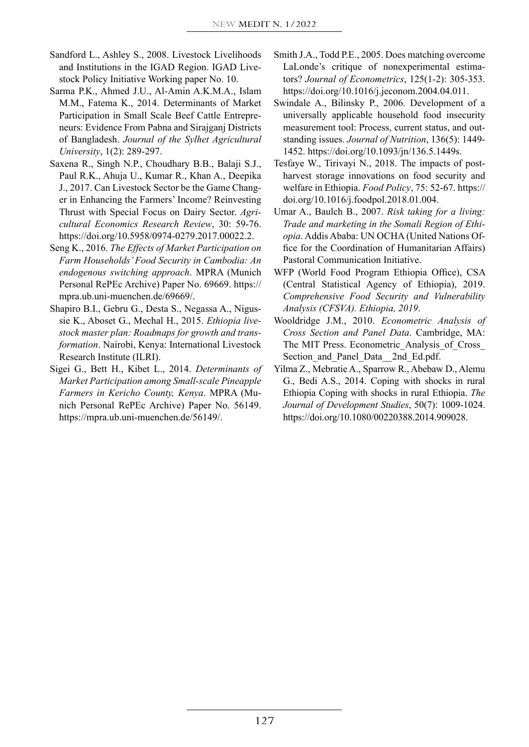- Sandford L., Ashley S., 2008. Livestock Livelihoods and Institutions in the IGAD Region. IGAD Livestock Policy Initiative Working paper No. 10.
- Sarma P.K., Ahmed J.U., Al-Amin A.K.M.A., Islam M.M., Fatema K., 2014. Determinants of Market Participation in Small Scale Beef Cattle Entrepreneurs: Evidence From Pabna and Sirajganj Districts of Bangladesh. *Journal of the Sylhet Agricultural University*, 1(2): 289-297.
- Saxena R., Singh N.P., Choudhary B.B., Balaji S.J., Paul R.K., Ahuja U., Kumar R., Khan A., Deepika J., 2017. Can Livestock Sector be the Game Changer in Enhancing the Farmers' Income? Reinvesting Thrust with Special Focus on Dairy Sector. *Agricultural Economics Research Review*, 30: 59-76. https://doi.org/10.5958/0974-0279.2017.00022.2.
- Seng K., 2016. *The Effects of Market Participation on Farm Households' Food Security in Cambodia: An endogenous switching approach*. MPRA (Munich Personal RePEc Archive) Paper No. 69669. https:// mpra.ub.uni-muenchen.de/69669/.
- Shapiro B.I., Gebru G., Desta S., Negassa A., Nigussie K., Aboset G., Mechal H., 2015. *Ethiopia livestock master plan: Roadmaps for growth and transformation*. Nairobi, Kenya: International Livestock Research Institute (ILRI).
- Sigei G., Bett H., Kibet L., 2014. *Determinants of Market Participation among Small-scale Pineapple Farmers in Kericho County, Kenya*. MPRA (Munich Personal RePEc Archive) Paper No. 56149. https://mpra.ub.uni-muenchen.de/56149/.
- Smith J.A., Todd P.E., 2005. Does matching overcome LaLonde's critique of nonexperimental estimators? *Journal of Econometrics*, 125(1-2): 305-353. https://doi.org/10.1016/j.jeconom.2004.04.011.
- Swindale A., Bilinsky P., 2006. Development of a universally applicable household food insecurity measurement tool: Process, current status, and outstanding issues. *Journal of Nutrition*, 136(5): 1449- 1452. https://doi.org/10.1093/jn/136.5.1449s.
- Tesfaye W., Tirivayi N., 2018. The impacts of postharvest storage innovations on food security and welfare in Ethiopia. *Food Policy*, 75: 52-67. https:// doi.org/10.1016/j.foodpol.2018.01.004.
- Umar A., Baulch B., 2007. *Risk taking for a living: Trade and marketing in the Somali Region of Ethiopia*. Addis Ababa: UN OCHA (United Nations Office for the Coordination of Humanitarian Affairs) Pastoral Communication Initiative.
- WFP (World Food Program Ethiopia Office), CSA (Central Statistical Agency of Ethiopia), 2019. *Comprehensive Food Security and Vulnerability Analysis (CFSVA). Ethiopia, 2019*.
- Wooldridge J.M., 2010. *Econometric Analysis of Cross Section and Panel Data*. Cambridge, MA: The MIT Press. Econometric\_Analysis\_of\_Cross\_ Section and Panel Data 2nd Ed.pdf.
- Yilma Z., Mebratie A., Sparrow R., Abebaw D., Alemu G., Bedi A.S., 2014. Coping with shocks in rural Ethiopia Coping with shocks in rural Ethiopia. *The Journal of Development Studies*, 50(7): 1009-1024. https://doi.org/10.1080/00220388.2014.909028.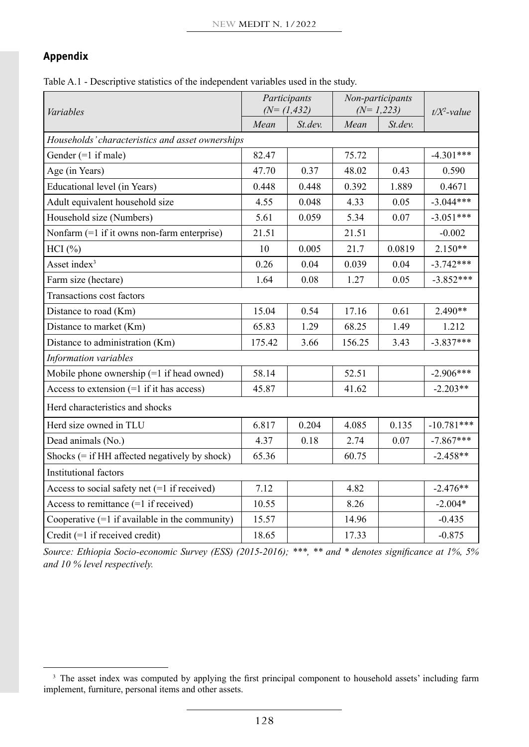# **Appendix**

Table A.1 - Descriptive statistics of the independent variables used in the study.

| Variables                                        |        | Participants<br>$(N=(1, 432))$ | Non-participants<br>$(N=1,223)$ | $t/X^2$ -value |              |
|--------------------------------------------------|--------|--------------------------------|---------------------------------|----------------|--------------|
|                                                  | Mean   | St.dev.                        | Mean                            | St.dev.        |              |
| Households' characteristics and asset ownerships |        |                                |                                 |                |              |
| Gender $(=1$ if male)                            | 82.47  |                                | 75.72                           |                | $-4.301***$  |
| Age (in Years)                                   | 47.70  | 0.37                           | 48.02                           | 0.43           | 0.590        |
| Educational level (in Years)                     | 0.448  | 0.448                          | 0.392                           | 1.889          | 0.4671       |
| Adult equivalent household size                  | 4.55   | 0.048                          | 4.33                            | 0.05           | $-3.044***$  |
| Household size (Numbers)                         | 5.61   | 0.059                          | 5.34                            | 0.07           | $-3.051***$  |
| Nonfarm (=1 if it owns non-farm enterprise)      | 21.51  |                                | 21.51                           |                | $-0.002$     |
| $HCI$ $(\%)$                                     | 10     | 0.005                          | 21.7                            | 0.0819         | $2.150**$    |
| Asset index <sup>3</sup>                         | 0.26   | 0.04                           | 0.039                           | 0.04           | $-3.742***$  |
| Farm size (hectare)                              | 1.64   | 0.08                           | 1.27                            | 0.05           | $-3.852***$  |
| Transactions cost factors                        |        |                                |                                 |                |              |
| Distance to road (Km)                            | 15.04  | 0.54                           | 17.16                           | 0.61           | $2.490**$    |
| Distance to market (Km)                          | 65.83  | 1.29                           | 68.25                           | 1.49           | 1.212        |
| Distance to administration (Km)                  | 175.42 | 3.66                           | 156.25                          | 3.43           | $-3.837***$  |
| Information variables                            |        |                                |                                 |                |              |
| Mobile phone ownership (=1 if head owned)        | 58.14  |                                | 52.51                           |                | $-2.906***$  |
| Access to extension $(=1$ if it has access)      | 45.87  |                                | 41.62                           |                | $-2.203**$   |
| Herd characteristics and shocks                  |        |                                |                                 |                |              |
| Herd size owned in TLU                           | 6.817  | 0.204                          | 4.085                           | 0.135          | $-10.781***$ |
| Dead animals (No.)                               | 4.37   | 0.18                           | 2.74                            | 0.07           | $-7.867***$  |
| Shocks $(=$ if HH affected negatively by shock)  | 65.36  |                                | 60.75                           |                | $-2.458**$   |
| <b>Institutional factors</b>                     |        |                                |                                 |                |              |
| Access to social safety net $(=1$ if received)   | 7.12   |                                | 4.82                            |                | $-2.476**$   |
| Access to remittance $(=1$ if received)          | 10.55  |                                | 8.26                            |                | $-2.004*$    |
| Cooperative $(=1$ if available in the community) | 15.57  |                                | 14.96                           |                | $-0.435$     |
| Credit $(=1$ if received credit)                 | 18.65  |                                | 17.33                           |                | $-0.875$     |

*Source: Ethiopia Socio-economic Survey (ESS) (2015-2016); \*\*\*, \*\* and \* denotes significance at 1%, 5% and 10 % level respectively.*

<sup>&</sup>lt;sup>3</sup> The asset index was computed by applying the first principal component to household assets' including farm implement, furniture, personal items and other assets.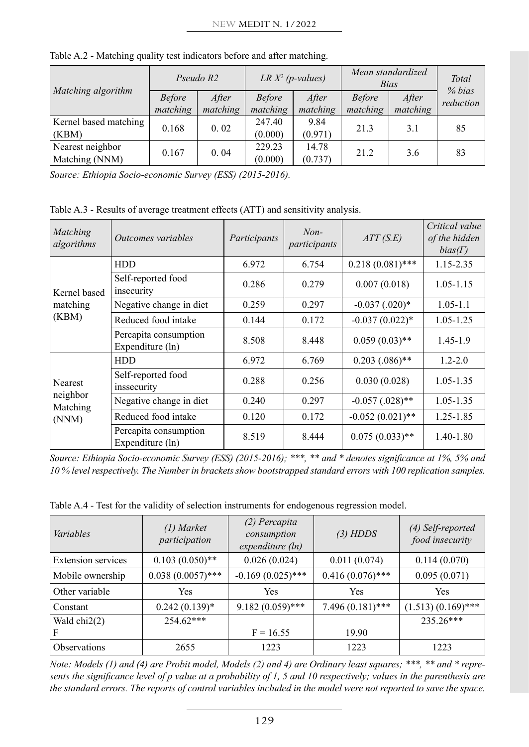|                       | Pseudo R2     |          | LR $X^2$ (p-values) |          | Mean standardized<br><i>Bias</i> |          | Total<br>% bias |
|-----------------------|---------------|----------|---------------------|----------|----------------------------------|----------|-----------------|
| Matching algorithm    | <b>Before</b> | After    | <b>Before</b>       | After    | <b>Before</b>                    | After    | reduction       |
|                       | matching      | matching | matching            | matching | matching                         | matching |                 |
| Kernel based matching | 0.168         | 0.02     | 247.40              | 9.84     | 21.3                             | 3.1      | 85              |
| (KBM)                 |               |          | (0.000)             | (0.971)  |                                  |          |                 |
| Nearest neighbor      | 0.167         | 0.04     | 229.23              | 14.78    | 21.2                             | 3.6      | 83              |
| Matching (NNM)        |               |          | (0.000)             | (0.737)  |                                  |          |                 |

Table A.2 - Matching quality test indicators before and after matching.

*Source: Ethiopia Socio-economic Survey (ESS) (2015-2016).*

Table A.3 - Results of average treatment effects (ATT) and sensitivity analysis.

| Matching<br>algorithms | Outcomes variables                        | Participants | $Non-$<br>participants | ATT(S.E)             | Critical value<br>of the hidden<br>$bias(\Gamma)$ |
|------------------------|-------------------------------------------|--------------|------------------------|----------------------|---------------------------------------------------|
|                        | <b>HDD</b>                                | 6.972        | 6.754                  | $0.218(0.081)$ ***   | 1.15-2.35                                         |
| Kernel based           | Self-reported food<br>insecurity          | 0.286        | 0.279                  | 0.007(0.018)         | $1.05 - 1.15$                                     |
| matching               | Negative change in diet                   | 0.259        | 0.297                  | $-0.037$ $(.020)*$   | $1.05 - 1.1$                                      |
| (KBM)                  | Reduced food intake                       | 0.144        | 0.172                  | $-0.037(0.022)*$     | 1.05-1.25                                         |
|                        | Percapita consumption<br>Expenditure (ln) | 8.508        | 8.448                  | $0.059(0.03)$ **     | $1.45 - 1.9$                                      |
|                        | <b>HDD</b>                                | 6.972        | 6.769                  | $0.203(.086)$ **     | $1.2 - 2.0$                                       |
| <b>Nearest</b>         | Self-reported food<br>inssecurity         | 0.288        | 0.256                  | 0.030(0.028)         | 1.05-1.35                                         |
| neighbor<br>Matching   | Negative change in diet                   | 0.240        | 0.297                  | $-0.057$ $(.028)$ ** | 1.05-1.35                                         |
| (NNM)                  | Reduced food intake                       | 0.120        | 0.172                  | $-0.052(0.021)$ **   | 1.25-1.85                                         |
|                        | Percapita consumption<br>Expenditure (ln) | 8.519        | 8.444                  | $0.075(0.033)$ **    | 1.40-1.80                                         |

*Source: Ethiopia Socio-economic Survey (ESS) (2015-2016); \*\*\*, \*\* and \* denotes significance at 1%, 5% and 10 % level respectively. The Number in brackets show bootstrapped standard errors with 100 replication samples.*

Table A.4 - Test for the validity of selection instruments for endogenous regression model.

| Variables                  | $(1)$ Market<br>participation | (2) Percapita<br>consumption<br>expenditure (ln) | $(3)$ HDDS         | (4) Self-reported<br>food insecurity |
|----------------------------|-------------------------------|--------------------------------------------------|--------------------|--------------------------------------|
| <b>Extension services</b>  | $0.103(0.050)$ **             | 0.026(0.024)                                     | 0.011(0.074)       | 0.114(0.070)                         |
| Mobile ownership           | $0.038(0.0057)$ ***           | $-0.169(0.025)$ ***                              | $0.416(0.076)$ *** | 0.095(0.071)                         |
| Other variable             | <b>Yes</b>                    | Yes                                              | Yes                | Yes                                  |
| Constant                   | $0.242(0.139)*$               | $9.182(0.059)$ ***                               | 7.496 (0.181)***   | $(1.513)(0.169)$ ***                 |
| Wald $chi2(2)$             | $254.62***$                   |                                                  |                    | $235.26***$                          |
| F                          |                               | $F = 16.55$                                      | 19.90              |                                      |
| <i><b>Observations</b></i> | 2655                          | 1223                                             | 1223               | 1223                                 |

*Note: Models (1) and (4) are Probit model, Models (2) and 4) are Ordinary least squares; \*\*\*, \*\* and \* represents the significance level of p value at a probability of 1, 5 and 10 respectively; values in the parenthesis are the standard errors. The reports of control variables included in the model were not reported to save the space.*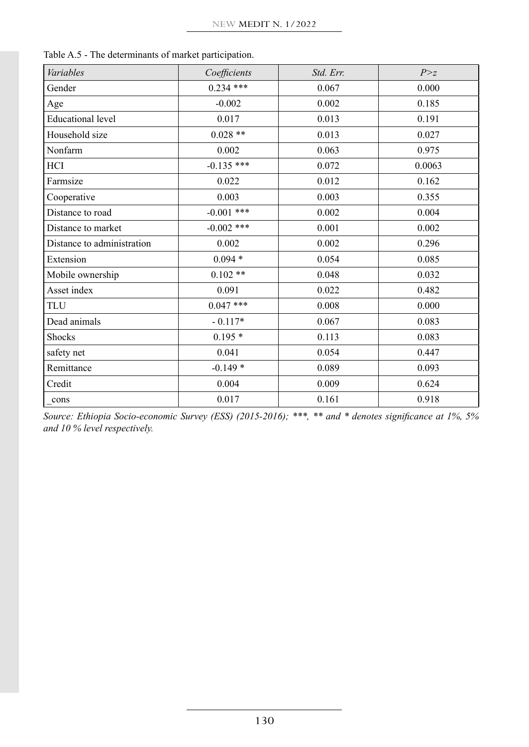| Variables                  | Coefficients | Std. Err. | P > z  |
|----------------------------|--------------|-----------|--------|
| Gender                     | $0.234$ ***  | 0.067     | 0.000  |
| Age                        | $-0.002$     | 0.002     | 0.185  |
| <b>Educational level</b>   | 0.017        | 0.013     | 0.191  |
| Household size             | $0.028**$    | 0.013     | 0.027  |
| Nonfarm                    | 0.002        | 0.063     | 0.975  |
| HCI                        | $-0.135$ *** | 0.072     | 0.0063 |
| Farmsize                   | 0.022        | 0.012     | 0.162  |
| Cooperative                | 0.003        | 0.003     | 0.355  |
| Distance to road           | $-0.001$ *** | 0.002     | 0.004  |
| Distance to market         | $-0.002$ *** | 0.001     | 0.002  |
| Distance to administration | 0.002        | 0.002     | 0.296  |
| Extension                  | $0.094*$     | 0.054     | 0.085  |
| Mobile ownership           | $0.102**$    | 0.048     | 0.032  |
| Asset index                | 0.091        | 0.022     | 0.482  |
| <b>TLU</b>                 | $0.047$ ***  | 0.008     | 0.000  |
| Dead animals               | $-0.117*$    | 0.067     | 0.083  |
| Shocks                     | $0.195*$     | 0.113     | 0.083  |
| safety net                 | 0.041        | 0.054     | 0.447  |
| Remittance                 | $-0.149*$    | 0.089     | 0.093  |
| Credit                     | 0.004        | 0.009     | 0.624  |
| cons                       | 0.017        | 0.161     | 0.918  |

Table A.5 - The determinants of market participation.

*Source: Ethiopia Socio-economic Survey (ESS) (2015-2016); \*\*\*, \*\* and \* denotes significance at 1%, 5% and 10 % level respectively.*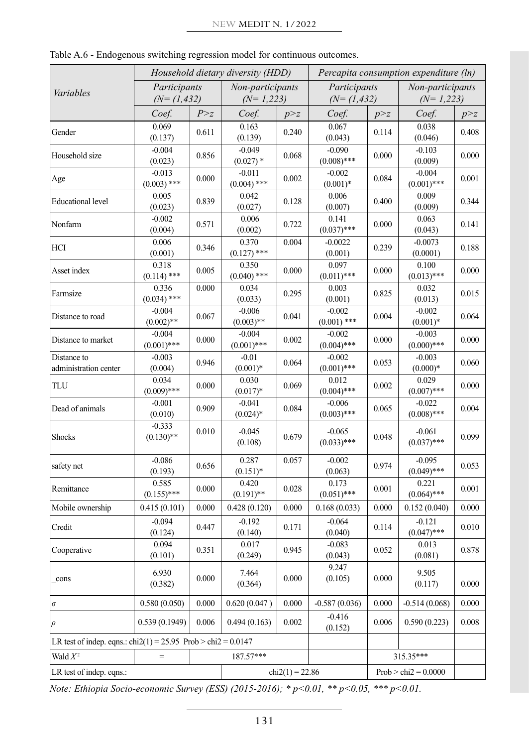|                                                                                       | Household dietary diversity (HDD) |       |                           |                   | Percapita consumption expenditure (ln) |       |                           |       |
|---------------------------------------------------------------------------------------|-----------------------------------|-------|---------------------------|-------------------|----------------------------------------|-------|---------------------------|-------|
| Variables                                                                             | Participants                      |       | Non-participants          |                   | Participants                           |       | Non-participants          |       |
|                                                                                       | $(N=(1,432))$                     |       | $(N=1,223)$               |                   | $(N=(1, 432))$                         |       | $(N=1,223)$               |       |
|                                                                                       | Coef.                             | P > z | Coef.                     | p > z             | Coef.                                  | p > z | Coef.                     | p > z |
| Gender                                                                                | 0.069<br>(0.137)                  | 0.611 | 0.163<br>(0.139)          | 0.240             | 0.067<br>(0.043)                       | 0.114 | 0.038<br>(0.046)          | 0.408 |
| Household size                                                                        | $-0.004$<br>(0.023)               | 0.856 | $-0.049$<br>$(0.027)$ *   | 0.068             | $-0.090$<br>$(0.008)$ ***              | 0.000 | $-0.103$<br>(0.009)       | 0.000 |
| Age                                                                                   | $-0.013$<br>$(0.003)$ ***         | 0.000 | $-0.011$<br>$(0.004)$ *** | 0.002             | $-0.002$<br>$(0.001)*$                 | 0.084 | $-0.004$<br>$(0.001)$ *** | 0.001 |
| <b>Educational</b> level                                                              | 0.005<br>(0.023)                  | 0.839 | 0.042<br>(0.027)          | 0.128             | 0.006<br>(0.007)                       | 0.400 | 0.009<br>(0.009)          | 0.344 |
| Nonfarm                                                                               | $-0.002$<br>(0.004)               | 0.571 | 0.006<br>(0.002)          | 0.722             | 0.141<br>$(0.037)$ ***                 | 0.000 | 0.063<br>(0.043)          | 0.141 |
| <b>HCI</b>                                                                            | 0.006<br>(0.001)                  | 0.346 | 0.370<br>$(0.127)$ ***    | 0.004             | $-0.0022$<br>(0.001)                   | 0.239 | $-0.0073$<br>(0.0001)     | 0.188 |
| Asset index                                                                           | 0.318<br>$(0.114)$ ***            | 0.005 | 0.350<br>$(0.040)$ ***    | 0.000             | 0.097<br>$(0.011)$ ***                 | 0.000 | 0.100<br>$(0.013)$ ***    | 0.000 |
| Farmsize                                                                              | 0.336<br>$(0.034)$ ***            | 0.000 | 0.034<br>(0.033)          | 0.295             | 0.003<br>(0.001)                       | 0.825 | 0.032<br>(0.013)          | 0.015 |
| Distance to road                                                                      | $-0.004$<br>$(0.002)$ **          | 0.067 | $-0.006$<br>$(0.003)$ **  | 0.041             | $-0.002$<br>$(0.001)$ ***              | 0.004 | $-0.002$<br>$(0.001)*$    | 0.064 |
| Distance to market                                                                    | $-0.004$<br>$(0.001)$ ***         | 0.000 | $-0.004$<br>$(0.001)$ *** | 0.002             | $-0.002$<br>$(0.004)$ ***              | 0.000 | $-0.003$<br>$(0.000)$ *** | 0.000 |
| Distance to<br>administration center                                                  | $-0.003$<br>(0.004)               | 0.946 | $-0.01$<br>$(0.001)*$     | 0.064             | $-0.002$<br>$(0.001)$ ***              | 0.053 | $-0.003$<br>$(0.000)*$    | 0.060 |
| TLU                                                                                   | 0.034<br>$(0.009)$ ***            | 0.000 | 0.030<br>$(0.017)*$       | 0.069             | 0.012<br>$(0.004)$ ***                 | 0.002 | 0.029<br>$(0.007)$ ***    | 0.000 |
| Dead of animals                                                                       | $-0.001$<br>(0.010)               | 0.909 | $-0.041$<br>$(0.024)*$    | 0.084             | $-0.006$<br>$(0.003)$ ***              | 0.065 | $-0.022$<br>$(0.008)$ *** | 0.004 |
| Shocks                                                                                | $-0.333$<br>$(0.130)$ **          | 0.010 | $-0.045$<br>(0.108)       | 0.679             | $-0.065$<br>$(0.033)$ ***              | 0.048 | $-0.061$<br>$(0.037)$ *** | 0.099 |
| safety net                                                                            | $-0.086$<br>(0.193)               | 0.656 | 0.287<br>$(0.151)$ *      | 0.057             | $-0.002$<br>(0.063)                    | 0.974 | $-0.095$<br>$(0.049)$ *** | 0.053 |
| Remittance                                                                            | 0.585<br>$(0.155)$ ***            | 0.000 | 0.420<br>$(0.191)$ **     | 0.028             | 0.173<br>$(0.051)$ ***                 | 0.001 | 0.221<br>$(0.064)$ ***    | 0.001 |
| Mobile ownership                                                                      | 0.415(0.101)                      | 0.000 | 0.428(0.120)              | 0.000             | 0.168(0.033)                           | 0.000 | 0.152(0.040)              | 0.000 |
| Credit                                                                                | $-0.094$<br>(0.124)               | 0.447 | $-0.192$<br>(0.140)       | 0.171             | $-0.064$<br>(0.040)                    | 0.114 | $-0.121$<br>$(0.047)$ *** | 0.010 |
| Cooperative                                                                           | 0.094<br>(0.101)                  | 0.351 | 0.017<br>(0.249)          | 0.945             | $-0.083$<br>(0.043)                    | 0.052 | 0.013<br>(0.081)          | 0.878 |
| cons                                                                                  | 6.930<br>(0.382)                  | 0.000 | 7.464<br>(0.364)          | 0.000             | 9.247<br>(0.105)                       | 0.000 | 9.505<br>(0.117)          | 0.000 |
| $\sigma$                                                                              | 0.580(0.050)                      | 0.000 | 0.620(0.047)              | 0.000             | $-0.587(0.036)$                        | 0.000 | $-0.514(0.068)$           | 0.000 |
| $\rho$                                                                                | 0.539(0.1949)                     | 0.006 | 0.494(0.163)              | 0.002             | $-0.416$<br>(0.152)                    | 0.006 | 0.590(0.223)              | 0.008 |
| LR test of indep. eqns.: $\text{chi2}(1) = 25.95 \text{ Prob} > \text{chi2} = 0.0147$ |                                   |       |                           |                   |                                        |       |                           |       |
| Wald $X^2$                                                                            |                                   |       | 187.57***                 |                   |                                        |       | 315.35***                 |       |
| LR test of indep. eqns.:                                                              |                                   |       |                           | $chi2(1) = 22.86$ | $Prob > chi2 = 0.0000$                 |       |                           |       |

Table A.6 - Endogenous switching regression model for continuous outcomes.

*Note: Ethiopia Socio-economic Survey (ESS) (2015-2016); \* p<0.01, \*\* p<0.05, \*\*\* p<0.01.*